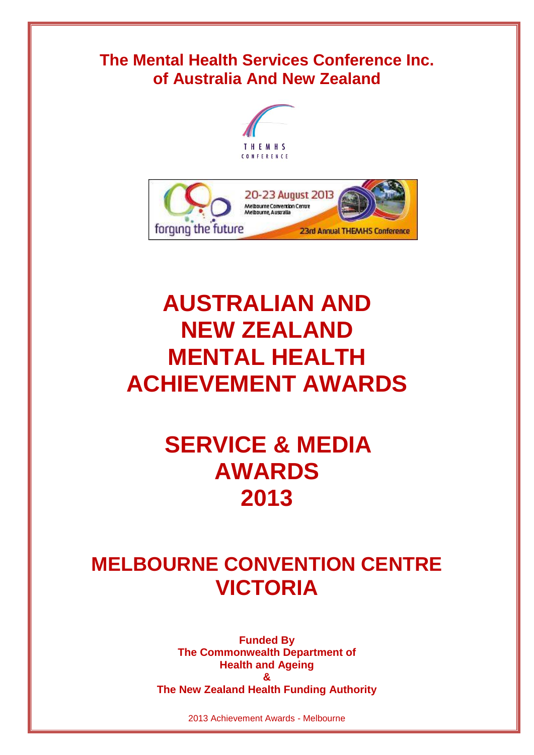# **The Mental Health Services Conference Inc. of Australia And New Zealand**





# **AUSTRALIAN AND NEW ZEALAND MENTAL HEALTH ACHIEVEMENT AWARDS**

# **SERVICE & MEDIA AWARDS 2013**

# **MELBOURNE CONVENTION CENTRE VICTORIA**

**Funded By The Commonwealth Department of Health and Ageing & The New Zealand Health Funding Authority**

2013 Achievement Awards - Melbourne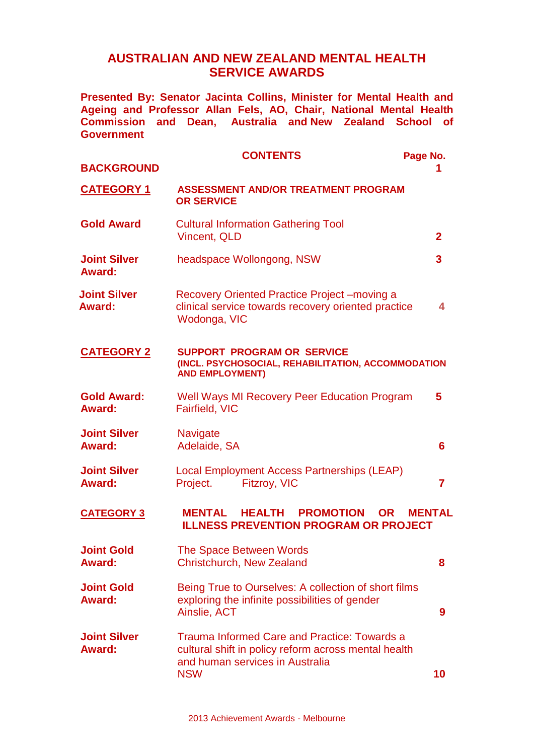## **AUSTRALIAN AND NEW ZEALAND MENTAL HEALTH SERVICE AWARDS**

**Presented By: Senator Jacinta Collins, Minister for Mental Health and Ageing and Professor Allan Fels, AO, Chair, National Mental Health Commission and Dean, Australia and New Zealand School of Government**

| <b>BACKGROUND</b>                    | <b>CONTENTS</b>                                                                                                                                              | Page No.                |
|--------------------------------------|--------------------------------------------------------------------------------------------------------------------------------------------------------------|-------------------------|
| <b>CATEGORY 1</b>                    | <b>ASSESSMENT AND/OR TREATMENT PROGRAM</b><br><b>OR SERVICE</b>                                                                                              |                         |
| <b>Gold Award</b>                    | <b>Cultural Information Gathering Tool</b><br><b>Vincent, QLD</b>                                                                                            | $\overline{2}$          |
| <b>Joint Silver</b><br><b>Award:</b> | headspace Wollongong, NSW                                                                                                                                    | $\overline{\mathbf{3}}$ |
| <b>Joint Silver</b><br><b>Award:</b> | Recovery Oriented Practice Project - moving a<br>clinical service towards recovery oriented practice<br>Wodonga, VIC                                         | 4                       |
| <b>CATEGORY 2</b>                    | <b>SUPPORT PROGRAM OR SERVICE</b><br>(INCL. PSYCHOSOCIAL, REHABILITATION, ACCOMMODATION<br><b>AND EMPLOYMENT)</b>                                            |                         |
| <b>Gold Award:</b><br><b>Award:</b>  | <b>Well Ways MI Recovery Peer Education Program</b><br>Fairfield, VIC                                                                                        | 5                       |
| <b>Joint Silver</b><br><b>Award:</b> | Navigate<br>Adelaide, SA                                                                                                                                     | 6                       |
| <b>Joint Silver</b><br><b>Award:</b> | Local Employment Access Partnerships (LEAP)<br>Project.<br>Fitzroy, VIC                                                                                      | $\overline{7}$          |
| <b>CATEGORY 3</b>                    | <b>HEALTH PROMOTION</b><br><b>MENTAL</b><br><b>OR</b><br><b>ILLNESS PREVENTION PROGRAM OR PROJECT</b>                                                        | <b>MENTAL</b>           |
| <b>Joint Gold</b><br><b>Award:</b>   | The Space Between Words<br><b>Christchurch, New Zealand</b>                                                                                                  | 8                       |
| <b>Joint Gold</b><br><b>Award:</b>   | Being True to Ourselves: A collection of short films<br>exploring the infinite possibilities of gender<br>Ainslie, ACT                                       | 9                       |
| <b>Joint Silver</b><br><b>Award:</b> | <b>Trauma Informed Care and Practice: Towards a</b><br>cultural shift in policy reform across mental health<br>and human services in Australia<br><b>NSW</b> | 10                      |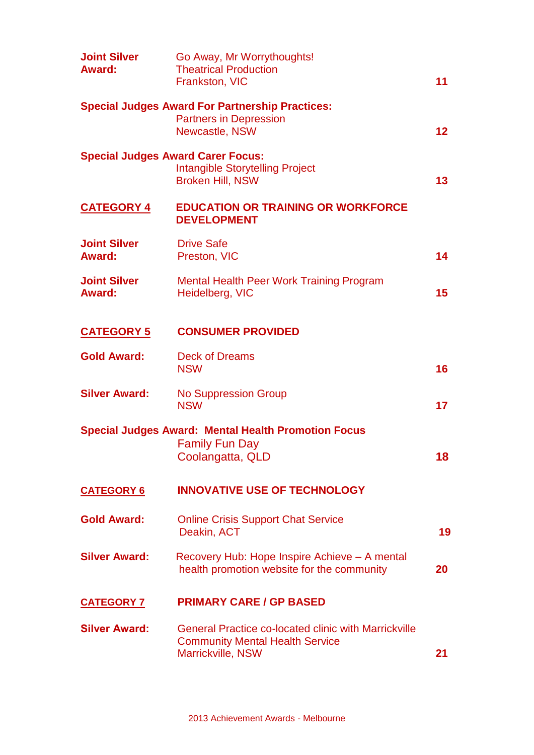| <b>Joint Silver</b><br>Award:            | Go Away, Mr Worrythoughts!<br><b>Theatrical Production</b><br>Frankston, VIC                                               | 11              |
|------------------------------------------|----------------------------------------------------------------------------------------------------------------------------|-----------------|
|                                          | <b>Special Judges Award For Partnership Practices:</b><br><b>Partners in Depression</b><br>Newcastle, NSW                  | 12 <sub>2</sub> |
| <b>Special Judges Award Carer Focus:</b> | <b>Intangible Storytelling Project</b><br><b>Broken Hill, NSW</b>                                                          | 13              |
| <u>CATEGORY 4</u>                        | <b>EDUCATION OR TRAINING OR WORKFORCE</b><br><b>DEVELOPMENT</b>                                                            |                 |
| <b>Joint Silver</b><br><b>Award:</b>     | <b>Drive Safe</b><br>Preston, VIC                                                                                          | 14              |
| <b>Joint Silver</b><br>Award:            | <b>Mental Health Peer Work Training Program</b><br>Heidelberg, VIC                                                         | 15 <sub>1</sub> |
| <b>CATEGORY 5</b>                        | <b>CONSUMER PROVIDED</b>                                                                                                   |                 |
| <b>Gold Award:</b>                       | <b>Deck of Dreams</b><br><b>NSW</b>                                                                                        | 16              |
| <b>Silver Award:</b>                     | <b>No Suppression Group</b><br><b>NSW</b>                                                                                  | 17              |
|                                          | <b>Special Judges Award: Mental Health Promotion Focus</b><br><b>Family Fun Day</b><br>Coolangatta, QLD                    | 18              |
| <b>CATEGORY 6</b>                        | <b>INNOVATIVE USE OF TECHNOLOGY</b>                                                                                        |                 |
| <b>Gold Award:</b>                       | <b>Online Crisis Support Chat Service</b><br>Deakin, ACT                                                                   | 19              |
| <b>Silver Award:</b>                     | Recovery Hub: Hope Inspire Achieve – A mental<br>health promotion website for the community                                | 20              |
| <b>CATEGORY 7</b>                        | <b>PRIMARY CARE / GP BASED</b>                                                                                             |                 |
| <b>Silver Award:</b>                     | <b>General Practice co-located clinic with Marrickville</b><br><b>Community Mental Health Service</b><br>Marrickville, NSW | 21              |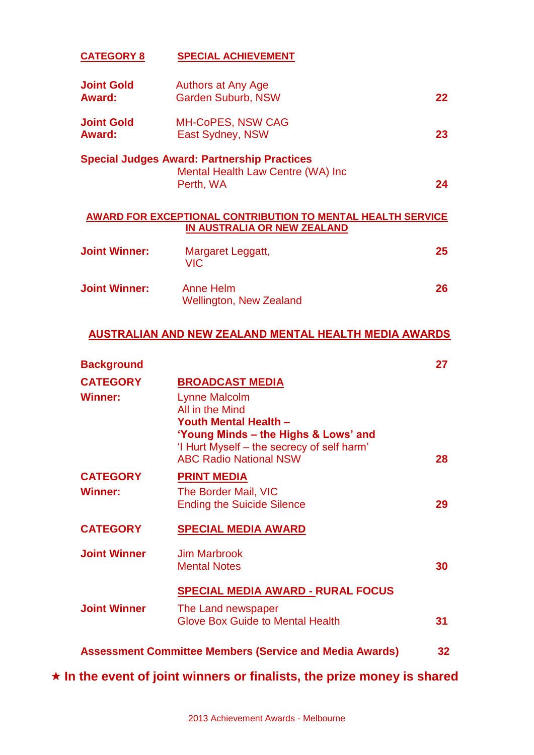#### **CATEGORY 8 SPECIAL ACHIEVEMENT**

| <b>Joint Gold</b><br>Award:        | Authors at Any Age<br><b>Garden Suburb, NSW</b>                                                      | 22 |
|------------------------------------|------------------------------------------------------------------------------------------------------|----|
| <b>Joint Gold</b><br><b>Award:</b> | <b>MH-CoPES, NSW CAG</b><br>East Sydney, NSW                                                         | 23 |
|                                    | <b>Special Judges Award: Partnership Practices</b><br>Mental Health Law Centre (WA) Inc<br>Perth, WA | 24 |
|                                    |                                                                                                      |    |

#### **AWARD FOR EXCEPTIONAL CONTRIBUTION TO MENTAL HEALTH SERVICE IN AUSTRALIA OR NEW ZEALAND**

| <b>Joint Winner:</b> | Margaret Leggatt,<br>VIC.                   | 25 |
|----------------------|---------------------------------------------|----|
| <b>Joint Winner:</b> | Anne Helm<br><b>Wellington, New Zealand</b> | 26 |

## **AUSTRALIAN AND NEW ZEALAND MENTAL HEALTH MEDIA AWARDS**

| <b>Background</b>                 |                                                                                                                                                                                                                          | 27 |
|-----------------------------------|--------------------------------------------------------------------------------------------------------------------------------------------------------------------------------------------------------------------------|----|
| <b>CATEGORY</b><br><b>Winner:</b> | <b>BROADCAST MEDIA</b><br><b>Lynne Malcolm</b><br>All in the Mind<br><b>Youth Mental Health -</b><br>'Young Minds - the Highs & Lows' and<br>'I Hurt Myself - the secrecy of self harm'<br><b>ABC Radio National NSW</b> | 28 |
| <b>CATEGORY</b><br><b>Winner:</b> | <b>PRINT MEDIA</b><br>The Border Mail, VIC<br><b>Ending the Suicide Silence</b>                                                                                                                                          | 29 |
| <b>CATEGORY</b>                   | <b>SPECIAL MEDIA AWARD</b>                                                                                                                                                                                               |    |
| <b>Joint Winner</b>               | <b>Jim Marbrook</b><br><b>Mental Notes</b>                                                                                                                                                                               | 30 |
|                                   | <b>SPECIAL MEDIA AWARD - RURAL FOCUS</b>                                                                                                                                                                                 |    |
| <b>Joint Winner</b>               | The Land newspaper<br><b>Glove Box Guide to Mental Health</b>                                                                                                                                                            | 31 |
|                                   | <b>Assessment Committee Members (Service and Media Awards)</b>                                                                                                                                                           | 32 |

**In the event of joint winners or finalists, the prize money is shared**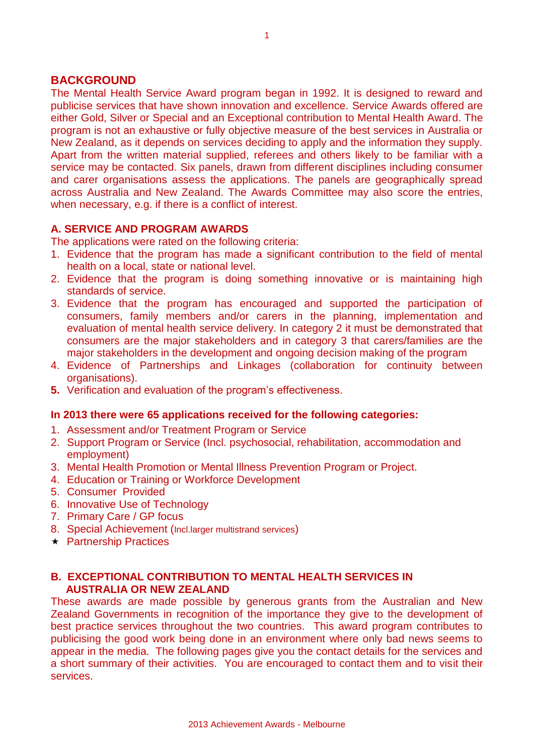#### **BACKGROUND**

The Mental Health Service Award program began in 1992. It is designed to reward and publicise services that have shown innovation and excellence. Service Awards offered are either Gold, Silver or Special and an Exceptional contribution to Mental Health Award. The program is not an exhaustive or fully objective measure of the best services in Australia or New Zealand, as it depends on services deciding to apply and the information they supply. Apart from the written material supplied, referees and others likely to be familiar with a service may be contacted. Six panels, drawn from different disciplines including consumer and carer organisations assess the applications. The panels are geographically spread across Australia and New Zealand. The Awards Committee may also score the entries, when necessary, e.g. if there is a conflict of interest.

#### **A. SERVICE AND PROGRAM AWARDS**

The applications were rated on the following criteria:

- 1. Evidence that the program has made a significant contribution to the field of mental health on a local, state or national level.
- 2. Evidence that the program is doing something innovative or is maintaining high standards of service.
- 3. Evidence that the program has encouraged and supported the participation of consumers, family members and/or carers in the planning, implementation and evaluation of mental health service delivery. In category 2 it must be demonstrated that consumers are the major stakeholders and in category 3 that carers/families are the major stakeholders in the development and ongoing decision making of the program
- 4. Evidence of Partnerships and Linkages (collaboration for continuity between organisations).
- **5.** Verification and evaluation of the program's effectiveness.

#### **In 2013 there were 65 applications received for the following categories:**

- 1. Assessment and/or Treatment Program or Service
- 2. Support Program or Service (Incl. psychosocial, rehabilitation, accommodation and employment)
- 3. Mental Health Promotion or Mental Illness Prevention Program or Project.
- 4. Education or Training or Workforce Development
- 5. Consumer Provided
- 6. Innovative Use of Technology
- 7. Primary Care / GP focus
- 8. Special Achievement (Incl.larger multistrand services)
- $\star$  Partnership Practices

#### **B. EXCEPTIONAL CONTRIBUTION TO MENTAL HEALTH SERVICES IN AUSTRALIA OR NEW ZEALAND**

These awards are made possible by generous grants from the Australian and New Zealand Governments in recognition of the importance they give to the development of best practice services throughout the two countries. This award program contributes to publicising the good work being done in an environment where only bad news seems to appear in the media. The following pages give you the contact details for the services and a short summary of their activities. You are encouraged to contact them and to visit their services.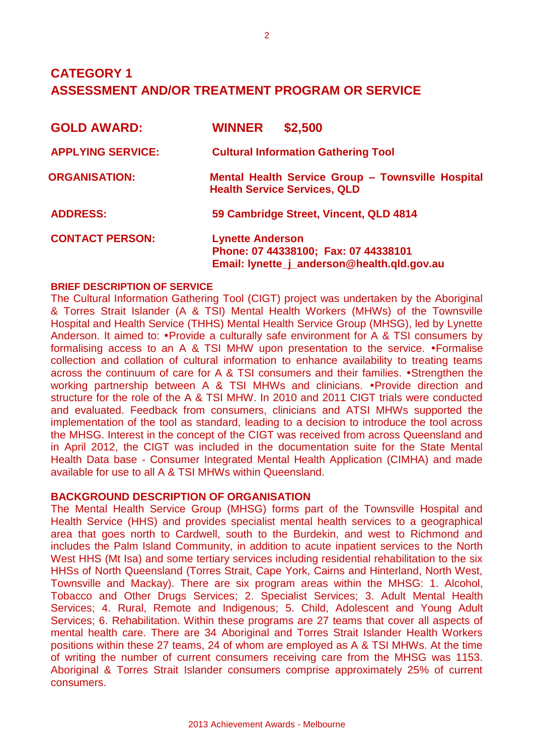## **CATEGORY 1 ASSESSMENT AND/OR TREATMENT PROGRAM OR SERVICE**

| <b>GOLD AWARD:</b>       | \$2,500<br><b>WINNER</b>                                                                                       |
|--------------------------|----------------------------------------------------------------------------------------------------------------|
| <b>APPLYING SERVICE:</b> | <b>Cultural Information Gathering Tool</b>                                                                     |
| <b>ORGANISATION:</b>     | Mental Health Service Group - Townsville Hospital<br><b>Health Service Services, QLD</b>                       |
| <b>ADDRESS:</b>          | 59 Cambridge Street, Vincent, QLD 4814                                                                         |
| <b>CONTACT PERSON:</b>   | <b>Lynette Anderson</b><br>Phone: 07 44338100; Fax: 07 44338101<br>Email: lynette_j_anderson@health.qld.gov.au |

#### **BRIEF DESCRIPTION OF SERVICE**

The Cultural Information Gathering Tool (CIGT) project was undertaken by the Aboriginal & Torres Strait Islander (A & TSI) Mental Health Workers (MHWs) of the Townsville Hospital and Health Service (THHS) Mental Health Service Group (MHSG), led by Lynette Anderson. It aimed to: • Provide a culturally safe environment for A & TSI consumers by formalising access to an A & TSI MHW upon presentation to the service. • Formalise collection and collation of cultural information to enhance availability to treating teams across the continuum of care for A  $\&$  TSI consumers and their families.  $\bullet$ Strengthen the working partnership between A & TSI MHWs and clinicians. • Provide direction and structure for the role of the A & TSI MHW. In 2010 and 2011 CIGT trials were conducted and evaluated. Feedback from consumers, clinicians and ATSI MHWs supported the implementation of the tool as standard, leading to a decision to introduce the tool across the MHSG. Interest in the concept of the CIGT was received from across Queensland and in April 2012, the CIGT was included in the documentation suite for the State Mental Health Data base - Consumer Integrated Mental Health Application (CIMHA) and made available for use to all A & TSI MHWs within Queensland.

#### **BACKGROUND DESCRIPTION OF ORGANISATION**

The Mental Health Service Group (MHSG) forms part of the Townsville Hospital and Health Service (HHS) and provides specialist mental health services to a geographical area that goes north to Cardwell, south to the Burdekin, and west to Richmond and includes the Palm Island Community, in addition to acute inpatient services to the North West HHS (Mt Isa) and some tertiary services including residential rehabilitation to the six HHSs of North Queensland (Torres Strait, Cape York, Cairns and Hinterland, North West, Townsville and Mackay). There are six program areas within the MHSG: 1. Alcohol, Tobacco and Other Drugs Services; 2. Specialist Services; 3. Adult Mental Health Services; 4. Rural, Remote and Indigenous; 5. Child, Adolescent and Young Adult Services; 6. Rehabilitation. Within these programs are 27 teams that cover all aspects of mental health care. There are 34 Aboriginal and Torres Strait Islander Health Workers positions within these 27 teams, 24 of whom are employed as A & TSI MHWs. At the time of writing the number of current consumers receiving care from the MHSG was 1153. Aboriginal & Torres Strait Islander consumers comprise approximately 25% of current consumers.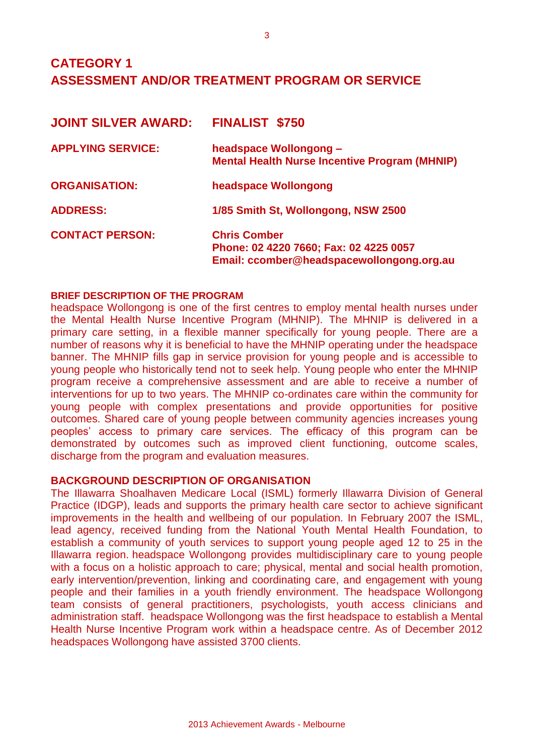## **CATEGORY 1 ASSESSMENT AND/OR TREATMENT PROGRAM OR SERVICE**

| <b>JOINT SILVER AWARD:</b> | <b>FINALIST \$750</b>                                                                                      |
|----------------------------|------------------------------------------------------------------------------------------------------------|
| <b>APPLYING SERVICE:</b>   | headspace Wollongong -<br><b>Mental Health Nurse Incentive Program (MHNIP)</b>                             |
| <b>ORGANISATION:</b>       | headspace Wollongong                                                                                       |
| <b>ADDRESS:</b>            | 1/85 Smith St, Wollongong, NSW 2500                                                                        |
| <b>CONTACT PERSON:</b>     | <b>Chris Comber</b><br>Phone: 02 4220 7660; Fax: 02 4225 0057<br>Email: ccomber@headspacewollongong.org.au |

#### **BRIEF DESCRIPTION OF THE PROGRAM**

headspace Wollongong is one of the first centres to employ mental health nurses under the Mental Health Nurse Incentive Program (MHNIP). The MHNIP is delivered in a primary care setting, in a flexible manner specifically for young people. There are a number of reasons why it is beneficial to have the MHNIP operating under the headspace banner. The MHNIP fills gap in service provision for young people and is accessible to young people who historically tend not to seek help. Young people who enter the MHNIP program receive a comprehensive assessment and are able to receive a number of interventions for up to two years. The MHNIP co-ordinates care within the community for young people with complex presentations and provide opportunities for positive outcomes. Shared care of young people between community agencies increases young peoples' access to primary care services. The efficacy of this program can be demonstrated by outcomes such as improved client functioning, outcome scales, discharge from the program and evaluation measures.

#### **BACKGROUND DESCRIPTION OF ORGANISATION**

The Illawarra Shoalhaven Medicare Local (ISML) formerly Illawarra Division of General Practice (IDGP), leads and supports the primary health care sector to achieve significant improvements in the health and wellbeing of our population. In February 2007 the ISML, lead agency, received funding from the National Youth Mental Health Foundation, to establish a community of youth services to support young people aged 12 to 25 in the Illawarra region. headspace Wollongong provides multidisciplinary care to young people with a focus on a holistic approach to care; physical, mental and social health promotion, early intervention/prevention, linking and coordinating care, and engagement with young people and their families in a youth friendly environment. The headspace Wollongong team consists of general practitioners, psychologists, youth access clinicians and administration staff. headspace Wollongong was the first headspace to establish a Mental Health Nurse Incentive Program work within a headspace centre. As of December 2012 headspaces Wollongong have assisted 3700 clients.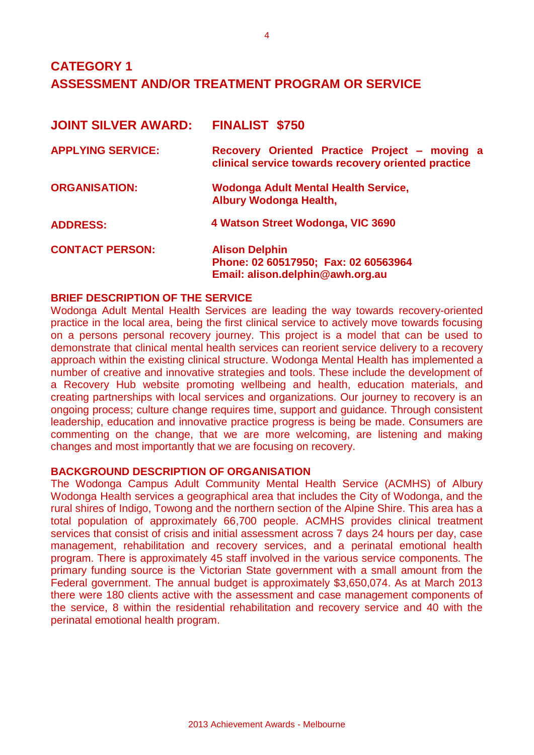## **CATEGORY 1 ASSESSMENT AND/OR TREATMENT PROGRAM OR SERVICE**

| <b>JOINT SILVER AWARD:</b> | <b>FINALIST \$750</b>                                                                                |
|----------------------------|------------------------------------------------------------------------------------------------------|
| <b>APPLYING SERVICE:</b>   | Recovery Oriented Practice Project - moving a<br>clinical service towards recovery oriented practice |
| <b>ORGANISATION:</b>       | <b>Wodonga Adult Mental Health Service,</b><br><b>Albury Wodonga Health,</b>                         |
| <b>ADDRESS:</b>            | 4 Watson Street Wodonga, VIC 3690                                                                    |
| <b>CONTACT PERSON:</b>     | <b>Alison Delphin</b><br>Phone: 02 60517950; Fax: 02 60563964<br>Email: alison.delphin@awh.org.au    |

#### **BRIEF DESCRIPTION OF THE SERVICE**

Wodonga Adult Mental Health Services are leading the way towards recovery-oriented practice in the local area, being the first clinical service to actively move towards focusing on a persons personal recovery journey. This project is a model that can be used to demonstrate that clinical mental health services can reorient service delivery to a recovery approach within the existing clinical structure. Wodonga Mental Health has implemented a number of creative and innovative strategies and tools. These include the development of a Recovery Hub website promoting wellbeing and health, education materials, and creating partnerships with local services and organizations. Our journey to recovery is an ongoing process; culture change requires time, support and guidance. Through consistent leadership, education and innovative practice progress is being be made. Consumers are commenting on the change, that we are more welcoming, are listening and making changes and most importantly that we are focusing on recovery.

#### **BACKGROUND DESCRIPTION OF ORGANISATION**

The Wodonga Campus Adult Community Mental Health Service (ACMHS) of Albury Wodonga Health services a geographical area that includes the City of Wodonga, and the rural shires of Indigo, Towong and the northern section of the Alpine Shire. This area has a total population of approximately 66,700 people. ACMHS provides clinical treatment services that consist of crisis and initial assessment across 7 days 24 hours per day, case management, rehabilitation and recovery services, and a perinatal emotional health program. There is approximately 45 staff involved in the various service components. The primary funding source is the Victorian State government with a small amount from the Federal government. The annual budget is approximately \$3,650,074. As at March 2013 there were 180 clients active with the assessment and case management components of the service, 8 within the residential rehabilitation and recovery service and 40 with the perinatal emotional health program.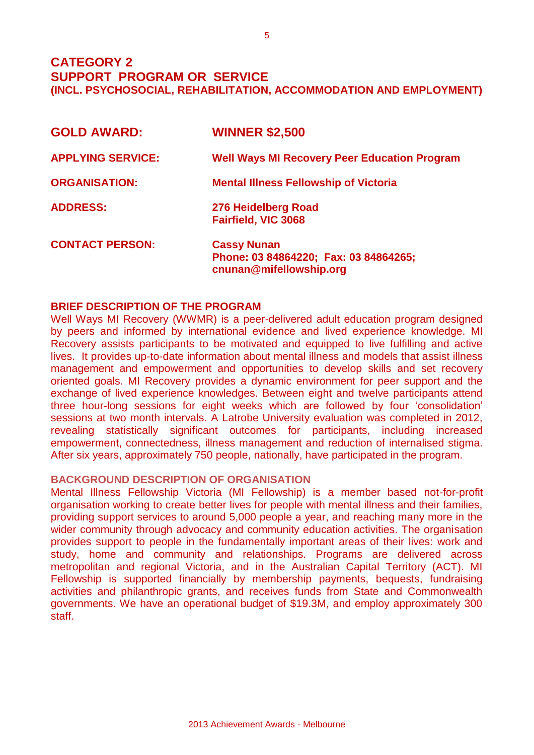**CATEGORY 2 SUPPORT PROGRAM OR SERVICE (INCL. PSYCHOSOCIAL, REHABILITATION, ACCOMMODATION AND EMPLOYMENT)** 

| <b>GOLD AWARD:</b>       | <b>WINNER \$2,500</b>                                                                  |
|--------------------------|----------------------------------------------------------------------------------------|
| <b>APPLYING SERVICE:</b> | <b>Well Ways MI Recovery Peer Education Program</b>                                    |
| <b>ORGANISATION:</b>     | <b>Mental Illness Fellowship of Victoria</b>                                           |
| <b>ADDRESS:</b>          | 276 Heidelberg Road<br><b>Fairfield, VIC 3068</b>                                      |
| <b>CONTACT PERSON:</b>   | <b>Cassy Nunan</b><br>Phone: 03 84864220; Fax: 03 84864265;<br>cnunan@mifellowship.org |

#### **BRIEF DESCRIPTION OF THE PROGRAM**

Well Ways MI Recovery (WWMR) is a peer-delivered adult education program designed by peers and informed by international evidence and lived experience knowledge. MI Recovery assists participants to be motivated and equipped to live fulfilling and active lives. It provides up-to-date information about mental illness and models that assist illness management and empowerment and opportunities to develop skills and set recovery oriented goals. MI Recovery provides a dynamic environment for peer support and the exchange of lived experience knowledges. Between eight and twelve participants attend three hour-long sessions for eight weeks which are followed by four 'consolidation' sessions at two month intervals. A Latrobe University evaluation was completed in 2012, revealing statistically significant outcomes for participants, including increased empowerment, connectedness, illness management and reduction of internalised stigma. After six years, approximately 750 people, nationally, have participated in the program.

#### **BACKGROUND DESCRIPTION OF ORGANISATION**

Mental Illness Fellowship Victoria (MI Fellowship) is a member based not-for-profit organisation working to create better lives for people with mental illness and their families, providing support services to around 5,000 people a year, and reaching many more in the wider community through advocacy and community education activities. The organisation provides support to people in the fundamentally important areas of their lives: work and study, home and community and relationships. Programs are delivered across metropolitan and regional Victoria, and in the Australian Capital Territory (ACT). MI Fellowship is supported financially by membership payments, bequests, fundraising activities and philanthropic grants, and receives funds from State and Commonwealth governments. We have an operational budget of \$19.3M, and employ approximately 300 staff.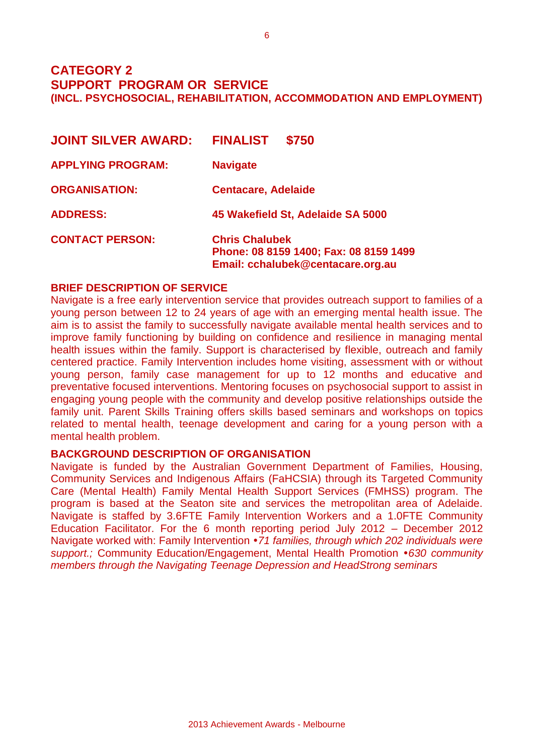### **CATEGORY 2 SUPPORT PROGRAM OR SERVICE (INCL. PSYCHOSOCIAL, REHABILITATION, ACCOMMODATION AND EMPLOYMENT)**

| <b>JOINT SILVER AWARD:</b> | <b>FINALIST</b><br>\$750                                                                             |
|----------------------------|------------------------------------------------------------------------------------------------------|
| <b>APPLYING PROGRAM:</b>   | <b>Navigate</b>                                                                                      |
| <b>ORGANISATION:</b>       | <b>Centacare, Adelaide</b>                                                                           |
| <b>ADDRESS:</b>            | 45 Wakefield St, Adelaide SA 5000                                                                    |
| <b>CONTACT PERSON:</b>     | <b>Chris Chalubek</b><br>Phone: 08 8159 1400; Fax: 08 8159 1499<br>Email: cchalubek@centacare.org.au |

#### **BRIEF DESCRIPTION OF SERVICE**

Navigate is a free early intervention service that provides outreach support to families of a young person between 12 to 24 years of age with an emerging mental health issue. The aim is to assist the family to successfully navigate available mental health services and to improve family functioning by building on confidence and resilience in managing mental health issues within the family. Support is characterised by flexible, outreach and family centered practice. Family Intervention includes home visiting, assessment with or without young person, family case management for up to 12 months and educative and preventative focused interventions. Mentoring focuses on psychosocial support to assist in engaging young people with the community and develop positive relationships outside the family unit. Parent Skills Training offers skills based seminars and workshops on topics related to mental health, teenage development and caring for a young person with a mental health problem.

#### **BACKGROUND DESCRIPTION OF ORGANISATION**

Navigate is funded by the Australian Government Department of Families, Housing, Community Services and Indigenous Affairs (FaHCSIA) through its Targeted Community Care (Mental Health) Family Mental Health Support Services (FMHSS) program. The program is based at the Seaton site and services the metropolitan area of Adelaide. Navigate is staffed by 3.6FTE Family Intervention Workers and a 1.0FTE Community Education Facilitator. For the 6 month reporting period July 2012 – December 2012 Navigate worked with: Family Intervention *71 families, through which 202 individuals were support.;* Community Education/Engagement, Mental Health Promotion *630 community members through the Navigating Teenage Depression and HeadStrong seminars*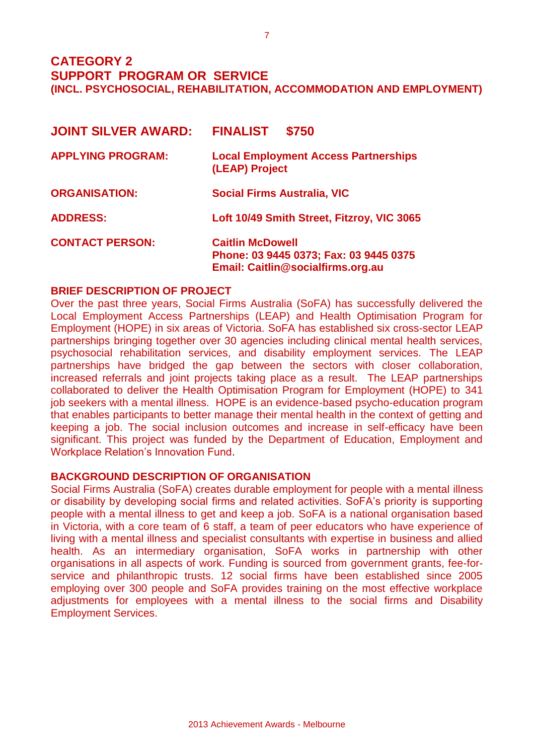## **CATEGORY 2 SUPPORT PROGRAM OR SERVICE (INCL. PSYCHOSOCIAL, REHABILITATION, ACCOMMODATION AND EMPLOYMENT)**

| <b>JOINT SILVER AWARD:</b> | <b>FINALIST</b><br>\$750                                                                               |
|----------------------------|--------------------------------------------------------------------------------------------------------|
| <b>APPLYING PROGRAM:</b>   | <b>Local Employment Access Partnerships</b><br>(LEAP) Project                                          |
| <b>ORGANISATION:</b>       | <b>Social Firms Australia, VIC</b>                                                                     |
| <b>ADDRESS:</b>            | Loft 10/49 Smith Street, Fitzroy, VIC 3065                                                             |
| <b>CONTACT PERSON:</b>     | <b>Caitlin McDowell</b><br>Phone: 03 9445 0373; Fax: 03 9445 0375<br>Email: Caitlin@socialfirms.org.au |

#### **BRIEF DESCRIPTION OF PROJECT**

Over the past three years, Social Firms Australia (SoFA) has successfully delivered the Local Employment Access Partnerships (LEAP) and Health Optimisation Program for Employment (HOPE) in six areas of Victoria. SoFA has established six cross-sector LEAP partnerships bringing together over 30 agencies including clinical mental health services, psychosocial rehabilitation services, and disability employment services. The LEAP partnerships have bridged the gap between the sectors with closer collaboration, increased referrals and joint projects taking place as a result. The LEAP partnerships collaborated to deliver the Health Optimisation Program for Employment (HOPE) to 341 job seekers with a mental illness. HOPE is an evidence-based psycho-education program that enables participants to better manage their mental health in the context of getting and keeping a job. The social inclusion outcomes and increase in self-efficacy have been significant. This project was funded by the Department of Education, Employment and Workplace Relation's Innovation Fund.

#### **BACKGROUND DESCRIPTION OF ORGANISATION**

Social Firms Australia (SoFA) creates durable employment for people with a mental illness or disability by developing social firms and related activities. SoFA's priority is supporting people with a mental illness to get and keep a job. SoFA is a national organisation based in Victoria, with a core team of 6 staff, a team of peer educators who have experience of living with a mental illness and specialist consultants with expertise in business and allied health. As an intermediary organisation, SoFA works in partnership with other organisations in all aspects of work. Funding is sourced from government grants, fee-forservice and philanthropic trusts. 12 social firms have been established since 2005 employing over 300 people and SoFA provides training on the most effective workplace adjustments for employees with a mental illness to the social firms and Disability Employment Services.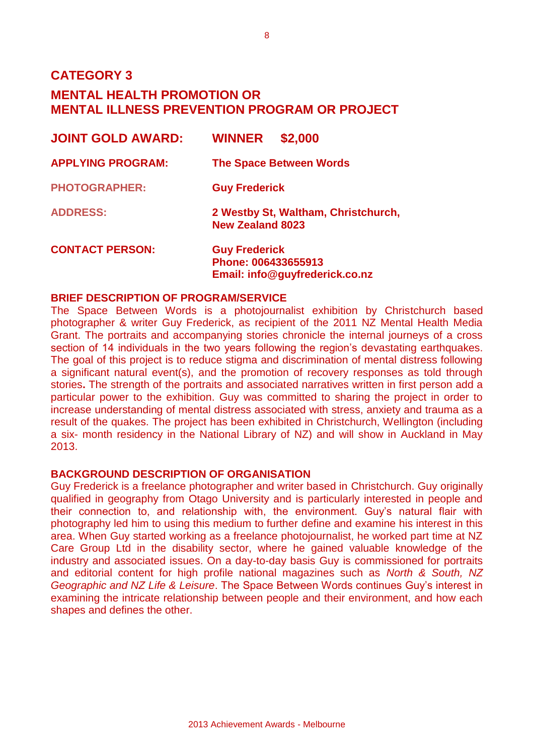**CATEGORY 3** 

## **MENTAL HEALTH PROMOTION OR MENTAL ILLNESS PREVENTION PROGRAM OR PROJECT**

| <b>JOINT GOLD AWARD:</b> | \$2,000<br><b>WINNER</b>                                                      |
|--------------------------|-------------------------------------------------------------------------------|
| <b>APPLYING PROGRAM:</b> | <b>The Space Between Words</b>                                                |
| <b>PHOTOGRAPHER:</b>     | <b>Guy Frederick</b>                                                          |
| <b>ADDRESS:</b>          | 2 Westby St, Waltham, Christchurch,<br><b>New Zealand 8023</b>                |
| <b>CONTACT PERSON:</b>   | <b>Guy Frederick</b><br>Phone: 006433655913<br>Email: info@guyfrederick.co.nz |

#### **BRIEF DESCRIPTION OF PROGRAM/SERVICE**

The Space Between Words is a photojournalist exhibition by Christchurch based photographer & writer Guy Frederick, as recipient of the 2011 NZ Mental Health Media Grant. The portraits and accompanying stories chronicle the internal journeys of a cross section of 14 individuals in the two years following the region's devastating earthquakes. The goal of this project is to reduce stigma and discrimination of mental distress following a significant natural event(s), and the promotion of recovery responses as told through stories**.** The strength of the portraits and associated narratives written in first person add a particular power to the exhibition. Guy was committed to sharing the project in order to increase understanding of mental distress associated with stress, anxiety and trauma as a result of the quakes. The project has been exhibited in Christchurch, Wellington (including a six- month residency in the National Library of NZ) and will show in Auckland in May 2013.

#### **BACKGROUND DESCRIPTION OF ORGANISATION**

Guy Frederick is a freelance photographer and writer based in Christchurch. Guy originally qualified in geography from Otago University and is particularly interested in people and their connection to, and relationship with, the environment. Guy's natural flair with photography led him to using this medium to further define and examine his interest in this area. When Guy started working as a freelance photojournalist, he worked part time at NZ Care Group Ltd in the disability sector, where he gained valuable knowledge of the industry and associated issues. On a day-to-day basis Guy is commissioned for portraits and editorial content for high profile national magazines such as *North & South, NZ Geographic and NZ Life & Leisure*. The Space Between Words continues Guy's interest in examining the intricate relationship between people and their environment, and how each shapes and defines the other.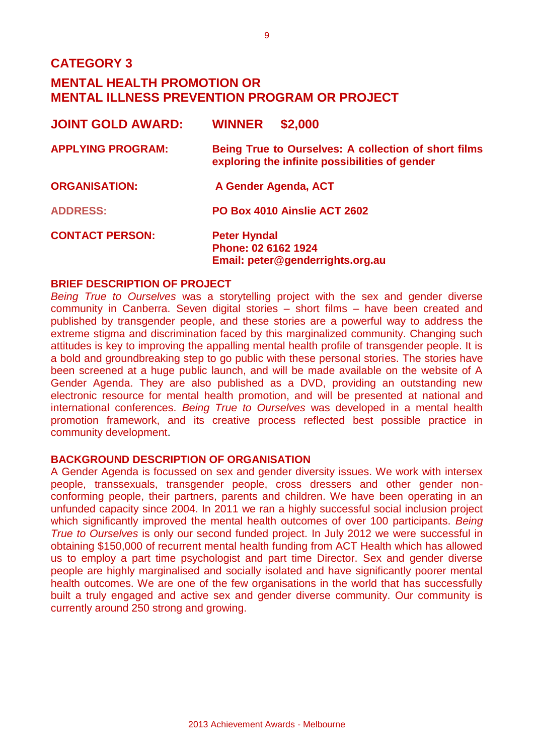| <b>JOINT GOLD AWARD:</b> | <b>WINNER</b><br>\$2,000                                                                               |
|--------------------------|--------------------------------------------------------------------------------------------------------|
| <b>APPLYING PROGRAM:</b> | Being True to Ourselves: A collection of short films<br>exploring the infinite possibilities of gender |
| <b>ORGANISATION:</b>     | A Gender Agenda, ACT                                                                                   |
| <b>ADDRESS:</b>          | PO Box 4010 Ainslie ACT 2602                                                                           |
| <b>CONTACT PERSON:</b>   | <b>Peter Hyndal</b><br>Phone: 02 6162 1924<br>Email: peter@genderrights.org.au                         |

#### **BRIEF DESCRIPTION OF PROJECT**

*Being True to Ourselves* was a storytelling project with the sex and gender diverse community in Canberra. Seven digital stories – short films – have been created and published by transgender people, and these stories are a powerful way to address the extreme stigma and discrimination faced by this marginalized community. Changing such attitudes is key to improving the appalling mental health profile of transgender people. It is a bold and groundbreaking step to go public with these personal stories. The stories have been screened at a huge public launch, and will be made available on the website of A Gender Agenda. They are also published as a DVD, providing an outstanding new electronic resource for mental health promotion, and will be presented at national and international conferences. *Being True to Ourselves* was developed in a mental health promotion framework, and its creative process reflected best possible practice in community development.

#### **BACKGROUND DESCRIPTION OF ORGANISATION**

A Gender Agenda is focussed on sex and gender diversity issues. We work with intersex people, transsexuals, transgender people, cross dressers and other gender nonconforming people, their partners, parents and children. We have been operating in an unfunded capacity since 2004. In 2011 we ran a highly successful social inclusion project which significantly improved the mental health outcomes of over 100 participants. *Being True to Ourselves* is only our second funded project. In July 2012 we were successful in obtaining \$150,000 of recurrent mental health funding from ACT Health which has allowed us to employ a part time psychologist and part time Director. Sex and gender diverse people are highly marginalised and socially isolated and have significantly poorer mental health outcomes. We are one of the few organisations in the world that has successfully built a truly engaged and active sex and gender diverse community. Our community is currently around 250 strong and growing.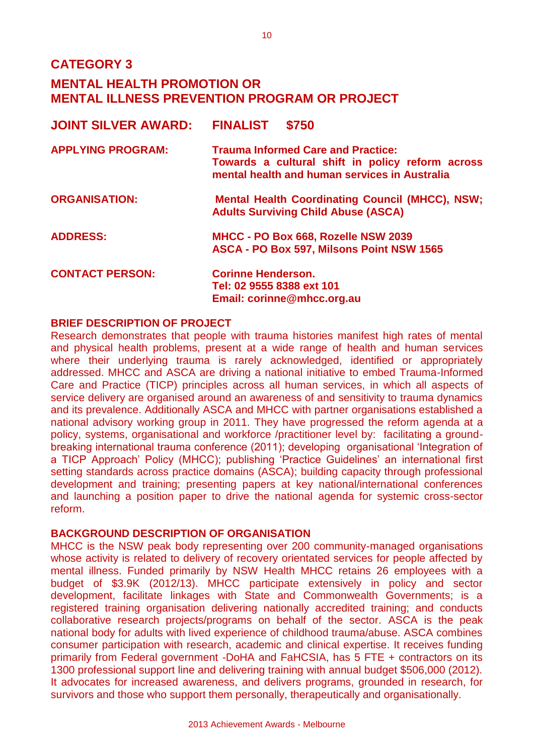## **CATEGORY 3**

## **MENTAL HEALTH PROMOTION OR MENTAL ILLNESS PREVENTION PROGRAM OR PROJECT**

| <b>JOINT SILVER AWARD:</b> | <b>FINALIST</b><br>\$750                                                                                                                       |
|----------------------------|------------------------------------------------------------------------------------------------------------------------------------------------|
| <b>APPLYING PROGRAM:</b>   | <b>Trauma Informed Care and Practice:</b><br>Towards a cultural shift in policy reform across<br>mental health and human services in Australia |
| <b>ORGANISATION:</b>       | <b>Mental Health Coordinating Council (MHCC), NSW;</b><br><b>Adults Surviving Child Abuse (ASCA)</b>                                           |
| <b>ADDRESS:</b>            | MHCC - PO Box 668, Rozelle NSW 2039<br>ASCA - PO Box 597, Milsons Point NSW 1565                                                               |
| <b>CONTACT PERSON:</b>     | <b>Corinne Henderson.</b><br>Tel: 02 9555 8388 ext 101<br>Email: corinne@mhcc.org.au                                                           |

#### **BRIEF DESCRIPTION OF PROJECT**

Research demonstrates that people with trauma histories manifest high rates of mental and physical health problems, present at a wide range of health and human services where their underlying trauma is rarely acknowledged, identified or appropriately addressed. MHCC and ASCA are driving a national initiative to embed Trauma-Informed Care and Practice (TICP) principles across all human services, in which all aspects of service delivery are organised around an awareness of and sensitivity to trauma dynamics and its prevalence. Additionally ASCA and MHCC with partner organisations established a national advisory working group in 2011. They have progressed the reform agenda at a policy, systems, organisational and workforce /practitioner level by: facilitating a groundbreaking international trauma conference (2011); developing organisational 'Integration of a TICP Approach' Policy (MHCC); publishing 'Practice Guidelines' an international first setting standards across practice domains (ASCA); building capacity through professional development and training; presenting papers at key national/international conferences and launching a position paper to drive the national agenda for systemic cross-sector reform.

#### **BACKGROUND DESCRIPTION OF ORGANISATION**

MHCC is the NSW peak body representing over 200 community-managed organisations whose activity is related to delivery of recovery orientated services for people affected by mental illness. Funded primarily by NSW Health MHCC retains 26 employees with a budget of \$3.9K (2012/13). MHCC participate extensively in policy and sector development, facilitate linkages with State and Commonwealth Governments; is a registered training organisation delivering nationally accredited training; and conducts collaborative research projects/programs on behalf of the sector. ASCA is the peak national body for adults with lived experience of childhood trauma/abuse. ASCA combines consumer participation with research, academic and clinical expertise. It receives funding primarily from Federal government -DoHA and FaHCSIA, has 5 FTE + contractors on its 1300 professional support line and delivering training with annual budget \$506,000 (2012). It advocates for increased awareness, and delivers programs, grounded in research, for survivors and those who support them personally, therapeutically and organisationally.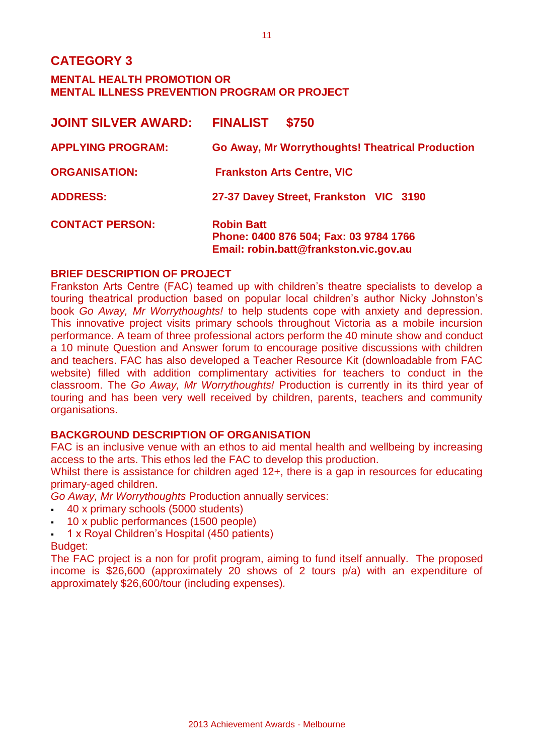| <b>JOINT SILVER AWARD:</b> | <b>FINALIST</b><br>\$750                                                                              |
|----------------------------|-------------------------------------------------------------------------------------------------------|
| <b>APPLYING PROGRAM:</b>   | <b>Go Away, Mr Worrythoughts! Theatrical Production</b>                                               |
| <b>ORGANISATION:</b>       | <b>Frankston Arts Centre, VIC</b>                                                                     |
| <b>ADDRESS:</b>            | 27-37 Davey Street, Frankston VIC 3190                                                                |
| <b>CONTACT PERSON:</b>     | <b>Robin Batt</b><br>Phone: 0400 876 504; Fax: 03 9784 1766<br>Email: robin.batt@frankston.vic.gov.au |

#### **BRIEF DESCRIPTION OF PROJECT**

Frankston Arts Centre (FAC) teamed up with children's theatre specialists to develop a touring theatrical production based on popular local children's author Nicky Johnston's book *Go Away, Mr Worrythoughts!* to help students cope with anxiety and depression. This innovative project visits primary schools throughout Victoria as a mobile incursion performance. A team of three professional actors perform the 40 minute show and conduct a 10 minute Question and Answer forum to encourage positive discussions with children and teachers. FAC has also developed a Teacher Resource Kit (downloadable from FAC website) filled with addition complimentary activities for teachers to conduct in the classroom. The *Go Away, Mr Worrythoughts!* Production is currently in its third year of touring and has been very well received by children, parents, teachers and community organisations.

#### **BACKGROUND DESCRIPTION OF ORGANISATION**

FAC is an inclusive venue with an ethos to aid mental health and wellbeing by increasing access to the arts. This ethos led the FAC to develop this production.

Whilst there is assistance for children aged 12+, there is a gap in resources for educating primary-aged children.

*Go Away, Mr Worrythoughts* Production annually services:

- 40 x primary schools (5000 students)
- 10 x public performances (1500 people)
- 1 x Royal Children's Hospital (450 patients)

#### Budget:

The FAC project is a non for profit program, aiming to fund itself annually. The proposed income is \$26,600 (approximately 20 shows of 2 tours p/a) with an expenditure of approximately \$26,600/tour (including expenses)*.*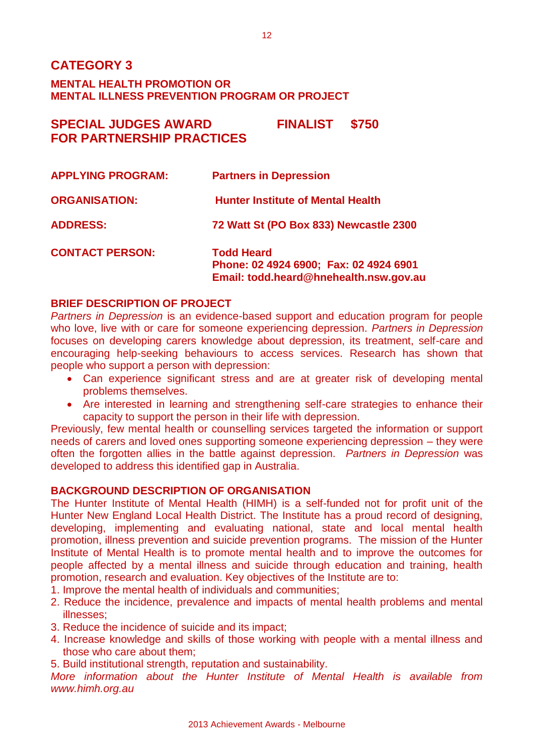## **SPECIAL JUDGES AWARD FINALIST \$750 FOR PARTNERSHIP PRACTICES**

| <b>APPLYING PROGRAM:</b> | <b>Partners in Depression</b>                                                                         |
|--------------------------|-------------------------------------------------------------------------------------------------------|
| <b>ORGANISATION:</b>     | <b>Hunter Institute of Mental Health</b>                                                              |
| <b>ADDRESS:</b>          | 72 Watt St (PO Box 833) Newcastle 2300                                                                |
| <b>CONTACT PERSON:</b>   | <b>Todd Heard</b><br>Phone: 02 4924 6900; Fax: 02 4924 6901<br>Email: todd.heard@hnehealth.nsw.gov.au |

#### **BRIEF DESCRIPTION OF PROJECT**

*Partners in Depression* is an evidence-based support and education program for people who love, live with or care for someone experiencing depression. *Partners in Depression* focuses on developing carers knowledge about depression, its treatment, self-care and encouraging help-seeking behaviours to access services. Research has shown that people who support a person with depression:

- Can experience significant stress and are at greater risk of developing mental problems themselves.
- Are interested in learning and strengthening self-care strategies to enhance their capacity to support the person in their life with depression.

Previously, few mental health or counselling services targeted the information or support needs of carers and loved ones supporting someone experiencing depression – they were often the forgotten allies in the battle against depression. *Partners in Depression* was developed to address this identified gap in Australia.

#### **BACKGROUND DESCRIPTION OF ORGANISATION**

The Hunter Institute of Mental Health (HIMH) is a self-funded not for profit unit of the Hunter New England Local Health District. The Institute has a proud record of designing, developing, implementing and evaluating national, state and local mental health promotion, illness prevention and suicide prevention programs. The mission of the Hunter Institute of Mental Health is to promote mental health and to improve the outcomes for people affected by a mental illness and suicide through education and training, health promotion, research and evaluation. Key objectives of the Institute are to:

- 1. Improve the mental health of individuals and communities;
- 2. Reduce the incidence, prevalence and impacts of mental health problems and mental illnesses;
- 3. Reduce the incidence of suicide and its impact;
- 4. Increase knowledge and skills of those working with people with a mental illness and those who care about them;
- 5. Build institutional strength, reputation and sustainability.

*More information about the Hunter Institute of Mental Health is available from www.himh.org.au*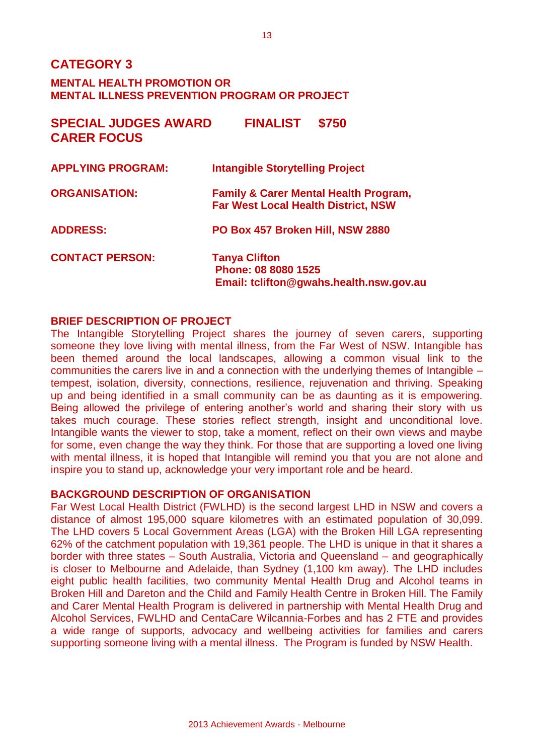| <b>SPECIAL JUDGES AWARD</b><br><b>CARER FOCUS</b> | <b>FINALIST</b><br>\$750                                                                       |
|---------------------------------------------------|------------------------------------------------------------------------------------------------|
| <b>APPLYING PROGRAM:</b>                          | <b>Intangible Storytelling Project</b>                                                         |
| <b>ORGANISATION:</b>                              | <b>Family &amp; Carer Mental Health Program,</b><br><b>Far West Local Health District, NSW</b> |
| <b>ADDRESS:</b>                                   | PO Box 457 Broken Hill, NSW 2880                                                               |
| <b>CONTACT PERSON:</b>                            | <b>Tanya Clifton</b><br>Phone: 08 8080 1525<br>Email: tclifton@gwahs.health.nsw.gov.au         |

#### **BRIEF DESCRIPTION OF PROJECT**

The Intangible Storytelling Project shares the journey of seven carers, supporting someone they love living with mental illness, from the Far West of NSW. Intangible has been themed around the local landscapes, allowing a common visual link to the communities the carers live in and a connection with the underlying themes of Intangible – tempest, isolation, diversity, connections, resilience, rejuvenation and thriving. Speaking up and being identified in a small community can be as daunting as it is empowering. Being allowed the privilege of entering another's world and sharing their story with us takes much courage. These stories reflect strength, insight and unconditional love. Intangible wants the viewer to stop, take a moment, reflect on their own views and maybe for some, even change the way they think. For those that are supporting a loved one living with mental illness, it is hoped that Intangible will remind you that you are not alone and inspire you to stand up, acknowledge your very important role and be heard.

#### **BACKGROUND DESCRIPTION OF ORGANISATION**

Far West Local Health District (FWLHD) is the second largest LHD in NSW and covers a distance of almost 195,000 square kilometres with an estimated population of 30,099. The LHD covers 5 Local Government Areas (LGA) with the Broken Hill LGA representing 62% of the catchment population with 19,361 people. The LHD is unique in that it shares a border with three states – South Australia, Victoria and Queensland – and geographically is closer to Melbourne and Adelaide, than Sydney (1,100 km away). The LHD includes eight public health facilities, two community Mental Health Drug and Alcohol teams in Broken Hill and Dareton and the Child and Family Health Centre in Broken Hill. The Family and Carer Mental Health Program is delivered in partnership with Mental Health Drug and Alcohol Services, FWLHD and CentaCare Wilcannia-Forbes and has 2 FTE and provides a wide range of supports, advocacy and wellbeing activities for families and carers supporting someone living with a mental illness. The Program is funded by NSW Health.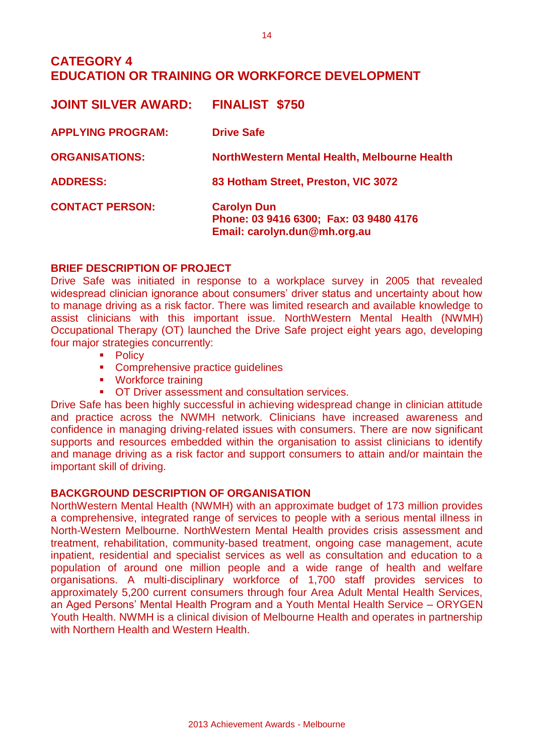## **CATEGORY 4 EDUCATION OR TRAINING OR WORKFORCE DEVELOPMENT**

| <b>FINALIST \$750</b>                                                                        |
|----------------------------------------------------------------------------------------------|
| <b>Drive Safe</b>                                                                            |
| NorthWestern Mental Health, Melbourne Health                                                 |
| 83 Hotham Street, Preston, VIC 3072                                                          |
| <b>Carolyn Dun</b><br>Phone: 03 9416 6300; Fax: 03 9480 4176<br>Email: carolyn.dun@mh.org.au |
|                                                                                              |

#### **BRIEF DESCRIPTION OF PROJECT**

Drive Safe was initiated in response to a workplace survey in 2005 that revealed widespread clinician ignorance about consumers' driver status and uncertainty about how to manage driving as a risk factor. There was limited research and available knowledge to assist clinicians with this important issue. NorthWestern Mental Health (NWMH) Occupational Therapy (OT) launched the Drive Safe project eight years ago, developing four major strategies concurrently:

- Policy
- **Comprehensive practice quidelines**
- **•** Workforce training
- **OT Driver assessment and consultation services.**

Drive Safe has been highly successful in achieving widespread change in clinician attitude and practice across the NWMH network. Clinicians have increased awareness and confidence in managing driving-related issues with consumers. There are now significant supports and resources embedded within the organisation to assist clinicians to identify and manage driving as a risk factor and support consumers to attain and/or maintain the important skill of driving.

#### **BACKGROUND DESCRIPTION OF ORGANISATION**

NorthWestern Mental Health (NWMH) with an approximate budget of 173 million provides a comprehensive, integrated range of services to people with a serious mental illness in North-Western Melbourne. NorthWestern Mental Health provides crisis assessment and treatment, rehabilitation, community-based treatment, ongoing case management, acute inpatient, residential and specialist services as well as consultation and education to a population of around one million people and a wide range of health and welfare organisations. A multi-disciplinary workforce of 1,700 staff provides services to approximately 5,200 current consumers through four Area Adult Mental Health Services, an Aged Persons' Mental Health Program and a Youth Mental Health Service – ORYGEN Youth Health. NWMH is a clinical division of Melbourne Health and operates in partnership with Northern Health and Western Health.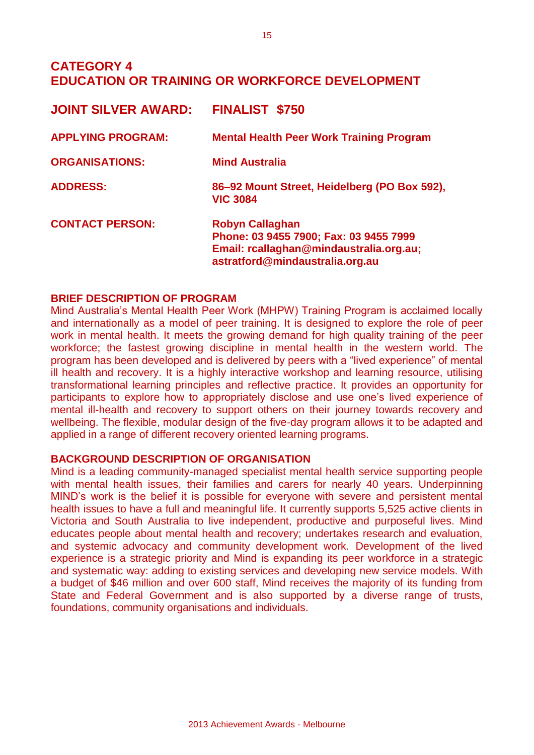## **CATEGORY 4 EDUCATION OR TRAINING OR WORKFORCE DEVELOPMENT**

| <b>JOINT SILVER AWARD:</b> | <b>FINALIST \$750</b>                                                                                                                          |
|----------------------------|------------------------------------------------------------------------------------------------------------------------------------------------|
| <b>APPLYING PROGRAM:</b>   | <b>Mental Health Peer Work Training Program</b>                                                                                                |
| <b>ORGANISATIONS:</b>      | <b>Mind Australia</b>                                                                                                                          |
| <b>ADDRESS:</b>            | 86-92 Mount Street, Heidelberg (PO Box 592),<br><b>VIC 3084</b>                                                                                |
| <b>CONTACT PERSON:</b>     | <b>Robyn Callaghan</b><br>Phone: 03 9455 7900; Fax: 03 9455 7999<br>Email: rcallaghan@mindaustralia.org.au;<br>astratford@mindaustralia.org.au |

#### **BRIEF DESCRIPTION OF PROGRAM**

Mind Australia's Mental Health Peer Work (MHPW) Training Program is acclaimed locally and internationally as a model of peer training. It is designed to explore the role of peer work in mental health. It meets the growing demand for high quality training of the peer workforce; the fastest growing discipline in mental health in the western world. The program has been developed and is delivered by peers with a "lived experience" of mental ill health and recovery. It is a highly interactive workshop and learning resource, utilising transformational learning principles and reflective practice. It provides an opportunity for participants to explore how to appropriately disclose and use one's lived experience of mental ill-health and recovery to support others on their journey towards recovery and wellbeing. The flexible, modular design of the five-day program allows it to be adapted and applied in a range of different recovery oriented learning programs.

#### **BACKGROUND DESCRIPTION OF ORGANISATION**

Mind is a leading community-managed specialist mental health service supporting people with mental health issues, their families and carers for nearly 40 years. Underpinning MIND's work is the belief it is possible for everyone with severe and persistent mental health issues to have a full and meaningful life. It currently supports 5,525 active clients in Victoria and South Australia to live independent, productive and purposeful lives. Mind educates people about mental health and recovery; undertakes research and evaluation, and systemic advocacy and community development work. Development of the lived experience is a strategic priority and Mind is expanding its peer workforce in a strategic and systematic way: adding to existing services and developing new service models. With a budget of \$46 million and over 600 staff, Mind receives the majority of its funding from State and Federal Government and is also supported by a diverse range of trusts, foundations, community organisations and individuals.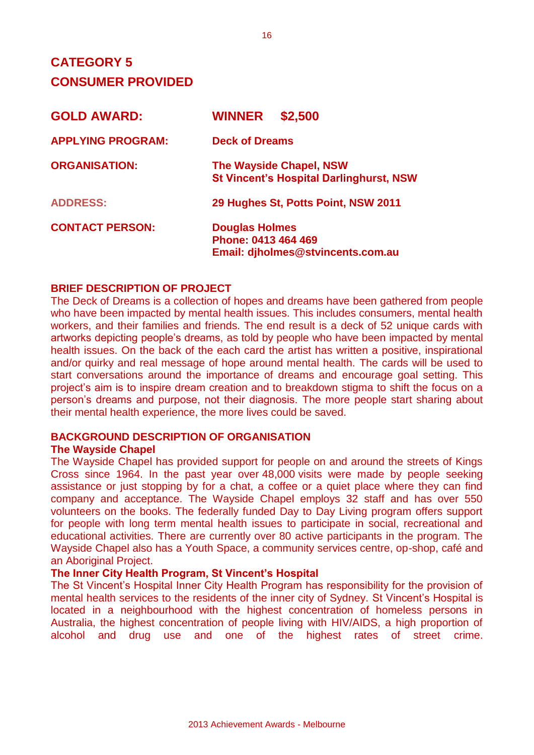# **CATEGORY 5 CONSUMER PROVIDED**

| <b>GOLD AWARD:</b>       | \$2,500<br><b>WINNER</b>                                                          |
|--------------------------|-----------------------------------------------------------------------------------|
| <b>APPLYING PROGRAM:</b> | <b>Deck of Dreams</b>                                                             |
| <b>ORGANISATION:</b>     | <b>The Wayside Chapel, NSW</b><br><b>St Vincent's Hospital Darlinghurst, NSW</b>  |
| <b>ADDRESS:</b>          | 29 Hughes St, Potts Point, NSW 2011                                               |
| <b>CONTACT PERSON:</b>   | <b>Douglas Holmes</b><br>Phone: 0413 464 469<br>Email: djholmes@stvincents.com.au |

#### **BRIEF DESCRIPTION OF PROJECT**

The Deck of Dreams is a collection of hopes and dreams have been gathered from people who have been impacted by mental health issues. This includes consumers, mental health workers, and their families and friends. The end result is a deck of 52 unique cards with artworks depicting people's dreams, as told by people who have been impacted by mental health issues. On the back of the each card the artist has written a positive, inspirational and/or quirky and real message of hope around mental health. The cards will be used to start conversations around the importance of dreams and encourage goal setting. This project's aim is to inspire dream creation and to breakdown stigma to shift the focus on a person's dreams and purpose, not their diagnosis. The more people start sharing about their mental health experience, the more lives could be saved.

## **BACKGROUND DESCRIPTION OF ORGANISATION**

#### **The Wayside Chapel**

The Wayside Chapel has provided support for people on and around the streets of Kings Cross since 1964. In the past year over 48,000 visits were made by people seeking assistance or just stopping by for a chat, a coffee or a quiet place where they can find company and acceptance. The Wayside Chapel employs 32 staff and has over 550 volunteers on the books. The federally funded Day to Day Living program offers support for people with long term mental health issues to participate in social, recreational and educational activities. There are currently over 80 active participants in the program. The Wayside Chapel also has a Youth Space, a community services centre, op-shop, café and an Aboriginal Project.

#### **The Inner City Health Program, St Vincent's Hospital**

The St Vincent's Hospital Inner City Health Program has responsibility for the provision of mental health services to the residents of the inner city of Sydney. St Vincent's Hospital is located in a neighbourhood with the highest concentration of homeless persons in Australia, the highest concentration of people living with HIV/AIDS, a high proportion of alcohol and drug use and one of the highest rates of street crime.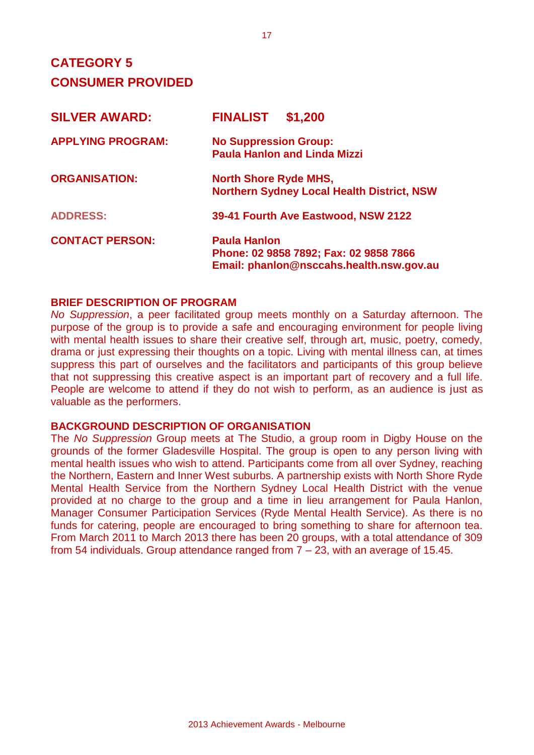# **CATEGORY 5 CONSUMER PROVIDED**

| <b>SILVER AWARD:</b>     | \$1,200<br><b>FINALIST</b>                                                                                |
|--------------------------|-----------------------------------------------------------------------------------------------------------|
| <b>APPLYING PROGRAM:</b> | <b>No Suppression Group:</b><br><b>Paula Hanlon and Linda Mizzi</b>                                       |
| <b>ORGANISATION:</b>     | <b>North Shore Ryde MHS,</b><br><b>Northern Sydney Local Health District, NSW</b>                         |
| <b>ADDRESS:</b>          | 39-41 Fourth Ave Eastwood, NSW 2122                                                                       |
| <b>CONTACT PERSON:</b>   | <b>Paula Hanlon</b><br>Phone: 02 9858 7892; Fax: 02 9858 7866<br>Email: phanlon@nsccahs.health.nsw.gov.au |

#### **BRIEF DESCRIPTION OF PROGRAM**

*No Suppression*, a peer facilitated group meets monthly on a Saturday afternoon. The purpose of the group is to provide a safe and encouraging environment for people living with mental health issues to share their creative self, through art, music, poetry, comedy, drama or just expressing their thoughts on a topic. Living with mental illness can, at times suppress this part of ourselves and the facilitators and participants of this group believe that not suppressing this creative aspect is an important part of recovery and a full life. People are welcome to attend if they do not wish to perform, as an audience is just as valuable as the performers.

#### **BACKGROUND DESCRIPTION OF ORGANISATION**

The *No Suppression* Group meets at The Studio, a group room in Digby House on the grounds of the former Gladesville Hospital. The group is open to any person living with mental health issues who wish to attend. Participants come from all over Sydney, reaching the Northern, Eastern and Inner West suburbs. A partnership exists with North Shore Ryde Mental Health Service from the Northern Sydney Local Health District with the venue provided at no charge to the group and a time in lieu arrangement for Paula Hanlon, Manager Consumer Participation Services (Ryde Mental Health Service). As there is no funds for catering, people are encouraged to bring something to share for afternoon tea. From March 2011 to March 2013 there has been 20 groups, with a total attendance of 309 from 54 individuals. Group attendance ranged from 7 – 23, with an average of 15.45.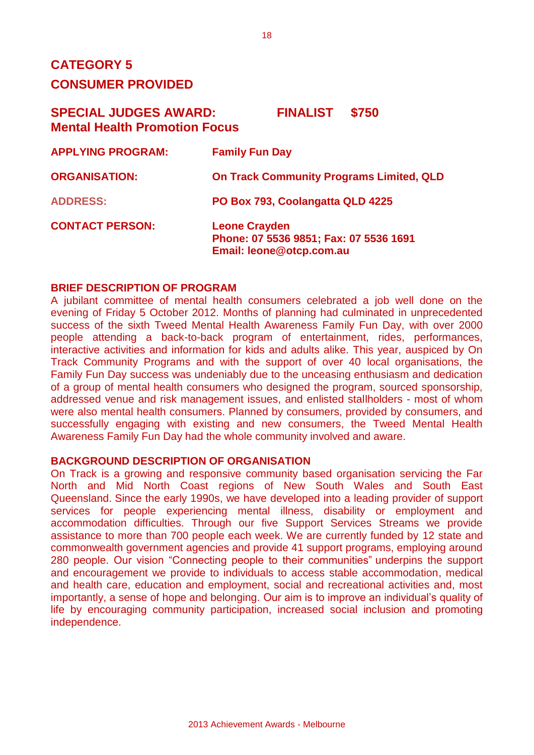# **CATEGORY 5 CONSUMER PROVIDED**

## **SPECIAL JUDGES AWARD: FINALIST \$750 Mental Health Promotion Focus**

| <b>APPLYING PROGRAM:</b> | <b>Family Fun Day</b>                                                                      |
|--------------------------|--------------------------------------------------------------------------------------------|
| <b>ORGANISATION:</b>     | <b>On Track Community Programs Limited, QLD</b>                                            |
| <b>ADDRESS:</b>          | PO Box 793, Coolangatta QLD 4225                                                           |
| <b>CONTACT PERSON:</b>   | <b>Leone Crayden</b><br>Phone: 07 5536 9851; Fax: 07 5536 1691<br>Email: leone@otcp.com.au |

#### **BRIEF DESCRIPTION OF PROGRAM**

A jubilant committee of mental health consumers celebrated a job well done on the evening of Friday 5 October 2012. Months of planning had culminated in unprecedented success of the sixth Tweed Mental Health Awareness Family Fun Day, with over 2000 people attending a back-to-back program of entertainment, rides, performances, interactive activities and information for kids and adults alike. This year, auspiced by On Track Community Programs and with the support of over 40 local organisations, the Family Fun Day success was undeniably due to the unceasing enthusiasm and dedication of a group of mental health consumers who designed the program, sourced sponsorship, addressed venue and risk management issues, and enlisted stallholders - most of whom were also mental health consumers. Planned by consumers, provided by consumers, and successfully engaging with existing and new consumers, the Tweed Mental Health Awareness Family Fun Day had the whole community involved and aware.

#### **BACKGROUND DESCRIPTION OF ORGANISATION**

On Track is a growing and responsive community based organisation servicing the Far North and Mid North Coast regions of New South Wales and South East Queensland. Since the early 1990s, we have developed into a leading provider of support services for people experiencing mental illness, disability or employment and accommodation difficulties. Through our five Support Services Streams we provide assistance to more than 700 people each week. We are currently funded by 12 state and commonwealth government agencies and provide 41 support programs, employing around 280 people. Our vision "Connecting people to their communities" underpins the support and encouragement we provide to individuals to access stable accommodation, medical and health care, education and employment, social and recreational activities and, most importantly, a sense of hope and belonging. Our aim is to improve an individual's quality of life by encouraging community participation, increased social inclusion and promoting independence.

18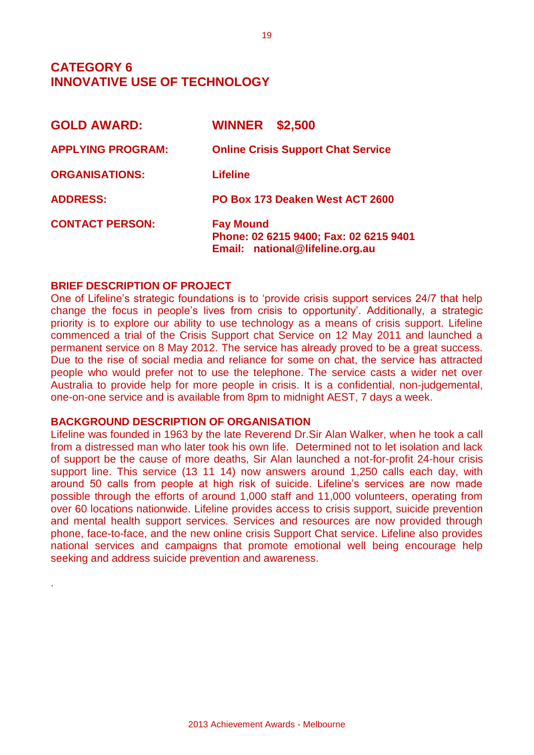## **CATEGORY 6 INNOVATIVE USE OF TECHNOLOGY**

| <b>GOLD AWARD:</b>       | <b>WINNER</b><br>\$2,500                                                                      |
|--------------------------|-----------------------------------------------------------------------------------------------|
| <b>APPLYING PROGRAM:</b> | <b>Online Crisis Support Chat Service</b>                                                     |
| <b>ORGANISATIONS:</b>    | <b>Lifeline</b>                                                                               |
| <b>ADDRESS:</b>          | PO Box 173 Deaken West ACT 2600                                                               |
| <b>CONTACT PERSON:</b>   | <b>Fay Mound</b><br>Phone: 02 6215 9400; Fax: 02 6215 9401<br>Email: national@lifeline.org.au |

#### **BRIEF DESCRIPTION OF PROJECT**

.

One of Lifeline's strategic foundations is to 'provide crisis support services 24/7 that help change the focus in people's lives from crisis to opportunity'. Additionally, a strategic priority is to explore our ability to use technology as a means of crisis support. Lifeline commenced a trial of the Crisis Support chat Service on 12 May 2011 and launched a permanent service on 8 May 2012. The service has already proved to be a great success. Due to the rise of social media and reliance for some on chat, the service has attracted people who would prefer not to use the telephone. The service casts a wider net over Australia to provide help for more people in crisis. It is a confidential, non-judgemental, one-on-one service and is available from 8pm to midnight AEST, 7 days a week.

#### **BACKGROUND DESCRIPTION OF ORGANISATION**

Lifeline was founded in 1963 by the late Reverend Dr.Sir Alan Walker, when he took a call from a distressed man who later took his own life. Determined not to let isolation and lack of support be the cause of more deaths, Sir Alan launched a not-for-profit 24-hour crisis support line. This service (13 11 14) now answers around 1,250 calls each day, with around 50 calls from people at high risk of suicide. Lifeline's services are now made possible through the efforts of around 1,000 staff and 11,000 volunteers, operating from over 60 locations nationwide. Lifeline provides access to crisis support, suicide prevention and mental health support services. Services and resources are now provided through phone, face-to-face, and the new online crisis Support Chat service. Lifeline also provides national services and campaigns that promote emotional well being encourage help seeking and address suicide prevention and awareness.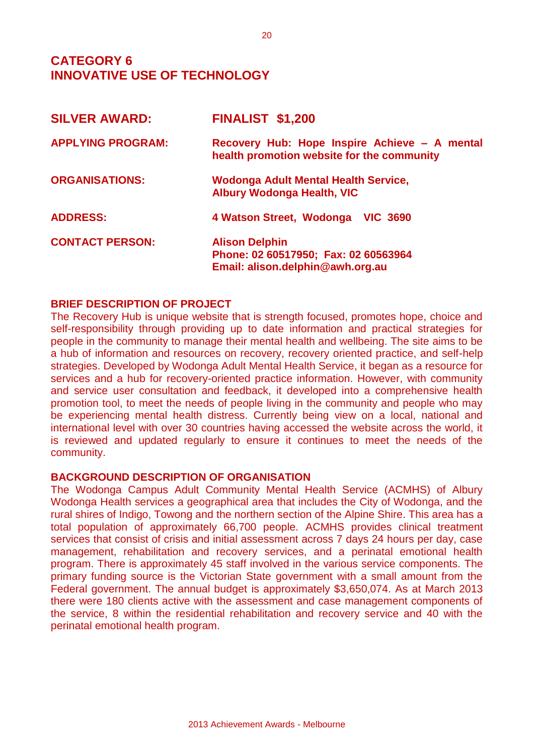## **CATEGORY 6 INNOVATIVE USE OF TECHNOLOGY**

| <b>SILVER AWARD:</b>     | <b>FINALIST \$1,200</b>                                                                           |
|--------------------------|---------------------------------------------------------------------------------------------------|
| <b>APPLYING PROGRAM:</b> | Recovery Hub: Hope Inspire Achieve - A mental<br>health promotion website for the community       |
| <b>ORGANISATIONS:</b>    | Wodonga Adult Mental Health Service,<br><b>Albury Wodonga Health, VIC</b>                         |
| <b>ADDRESS:</b>          | 4 Watson Street, Wodonga VIC 3690                                                                 |
| <b>CONTACT PERSON:</b>   | <b>Alison Delphin</b><br>Phone: 02 60517950; Fax: 02 60563964<br>Email: alison.delphin@awh.org.au |

#### **BRIEF DESCRIPTION OF PROJECT**

The Recovery Hub is unique website that is strength focused, promotes hope, choice and self-responsibility through providing up to date information and practical strategies for people in the community to manage their mental health and wellbeing. The site aims to be a hub of information and resources on recovery, recovery oriented practice, and self-help strategies. Developed by Wodonga Adult Mental Health Service, it began as a resource for services and a hub for recovery-oriented practice information. However, with community and service user consultation and feedback, it developed into a comprehensive health promotion tool, to meet the needs of people living in the community and people who may be experiencing mental health distress. Currently being view on a local, national and international level with over 30 countries having accessed the website across the world, it is reviewed and updated regularly to ensure it continues to meet the needs of the community.

#### **BACKGROUND DESCRIPTION OF ORGANISATION**

The Wodonga Campus Adult Community Mental Health Service (ACMHS) of Albury Wodonga Health services a geographical area that includes the City of Wodonga, and the rural shires of Indigo, Towong and the northern section of the Alpine Shire. This area has a total population of approximately 66,700 people. ACMHS provides clinical treatment services that consist of crisis and initial assessment across 7 days 24 hours per day, case management, rehabilitation and recovery services, and a perinatal emotional health program. There is approximately 45 staff involved in the various service components. The primary funding source is the Victorian State government with a small amount from the Federal government. The annual budget is approximately \$3,650,074. As at March 2013 there were 180 clients active with the assessment and case management components of the service, 8 within the residential rehabilitation and recovery service and 40 with the perinatal emotional health program.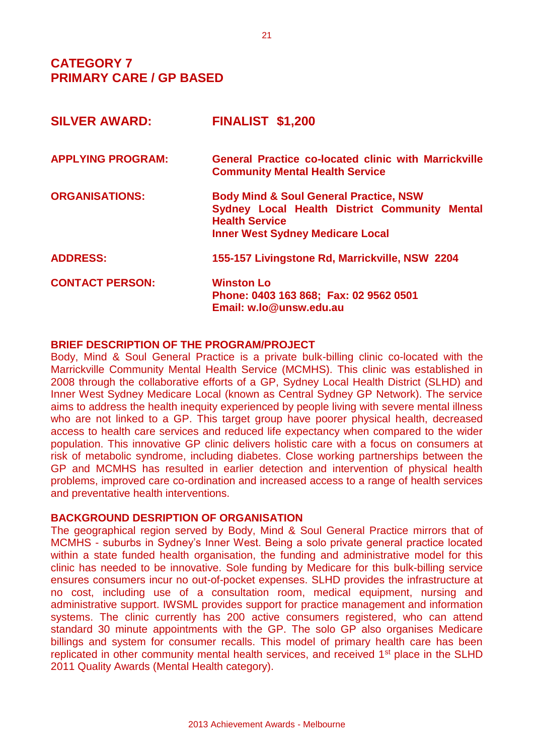## **CATEGORY 7 PRIMARY CARE / GP BASED**

| <b>FINALIST \$1,200</b>                                                                                                                                                |
|------------------------------------------------------------------------------------------------------------------------------------------------------------------------|
| <b>General Practice co-located clinic with Marrickville</b><br><b>Community Mental Health Service</b>                                                                  |
| <b>Body Mind &amp; Soul General Practice, NSW</b><br>Sydney Local Health District Community Mental<br><b>Health Service</b><br><b>Inner West Sydney Medicare Local</b> |
| 155-157 Livingstone Rd, Marrickville, NSW 2204                                                                                                                         |
| <b>Winston Lo</b><br>Phone: 0403 163 868; Fax: 02 9562 0501<br>Email: w.lo@unsw.edu.au                                                                                 |
|                                                                                                                                                                        |

#### **BRIEF DESCRIPTION OF THE PROGRAM/PROJECT**

Body, Mind & Soul General Practice is a private bulk-billing clinic co-located with the Marrickville Community Mental Health Service (MCMHS). This clinic was established in 2008 through the collaborative efforts of a GP, Sydney Local Health District (SLHD) and Inner West Sydney Medicare Local (known as Central Sydney GP Network). The service aims to address the health inequity experienced by people living with severe mental illness who are not linked to a GP. This target group have poorer physical health, decreased access to health care services and reduced life expectancy when compared to the wider population. This innovative GP clinic delivers holistic care with a focus on consumers at risk of metabolic syndrome, including diabetes. Close working partnerships between the GP and MCMHS has resulted in earlier detection and intervention of physical health problems, improved care co-ordination and increased access to a range of health services and preventative health interventions.

#### **BACKGROUND DESRIPTION OF ORGANISATION**

The geographical region served by Body, Mind & Soul General Practice mirrors that of MCMHS - suburbs in Sydney's Inner West. Being a solo private general practice located within a state funded health organisation, the funding and administrative model for this clinic has needed to be innovative. Sole funding by Medicare for this bulk-billing service ensures consumers incur no out-of-pocket expenses. SLHD provides the infrastructure at no cost, including use of a consultation room, medical equipment, nursing and administrative support. IWSML provides support for practice management and information systems. The clinic currently has 200 active consumers registered, who can attend standard 30 minute appointments with the GP. The solo GP also organises Medicare billings and system for consumer recalls. This model of primary health care has been replicated in other community mental health services, and received 1<sup>st</sup> place in the SLHD 2011 Quality Awards (Mental Health category).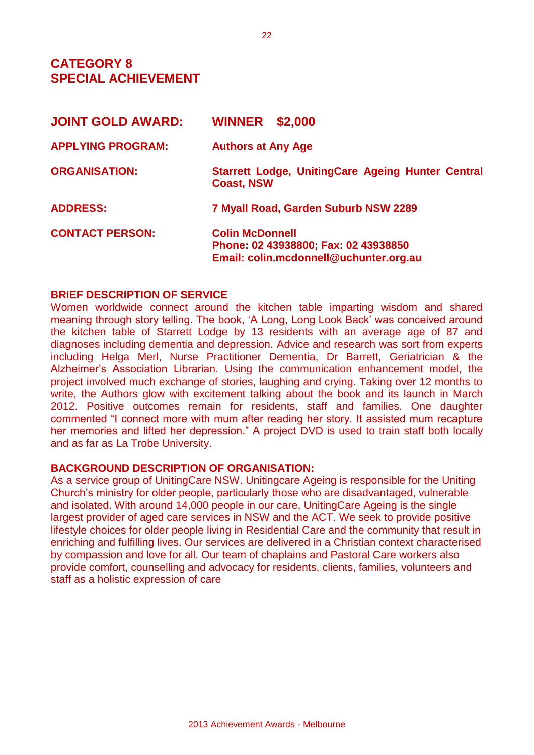## **CATEGORY 8 SPECIAL ACHIEVEMENT**

| <b>JOINT GOLD AWARD:</b> | <b>WINNER</b><br>\$2,000                                                                                 |  |
|--------------------------|----------------------------------------------------------------------------------------------------------|--|
| <b>APPLYING PROGRAM:</b> | <b>Authors at Any Age</b>                                                                                |  |
| <b>ORGANISATION:</b>     | Starrett Lodge, UnitingCare Ageing Hunter Central<br><b>Coast, NSW</b>                                   |  |
| <b>ADDRESS:</b>          | 7 Myall Road, Garden Suburb NSW 2289                                                                     |  |
| <b>CONTACT PERSON:</b>   | <b>Colin McDonnell</b><br>Phone: 02 43938800; Fax: 02 43938850<br>Email: colin.mcdonnell@uchunter.org.au |  |

#### **BRIEF DESCRIPTION OF SERVICE**

Women worldwide connect around the kitchen table imparting wisdom and shared meaning through story telling. The book, 'A Long, Long Look Back' was conceived around the kitchen table of Starrett Lodge by 13 residents with an average age of 87 and diagnoses including dementia and depression. Advice and research was sort from experts including Helga Merl, Nurse Practitioner Dementia, Dr Barrett, Geriatrician & the Alzheimer's Association Librarian. Using the communication enhancement model, the project involved much exchange of stories, laughing and crying. Taking over 12 months to write, the Authors glow with excitement talking about the book and its launch in March 2012. Positive outcomes remain for residents, staff and families. One daughter commented "I connect more with mum after reading her story. It assisted mum recapture her memories and lifted her depression." A project DVD is used to train staff both locally and as far as La Trobe University.

#### **BACKGROUND DESCRIPTION OF ORGANISATION:**

As a service group of UnitingCare NSW. Unitingcare Ageing is responsible for the Uniting Church's ministry for older people, particularly those who are disadvantaged, vulnerable and isolated. With around 14,000 people in our care, UnitingCare Ageing is the single largest provider of aged care services in NSW and the ACT. We seek to provide positive lifestyle choices for older people living in Residential Care and the community that result in enriching and fulfilling lives. Our services are delivered in a Christian context characterised by compassion and love for all. Our team of chaplains and Pastoral Care workers also provide comfort, counselling and advocacy for residents, clients, families, volunteers and staff as a holistic expression of care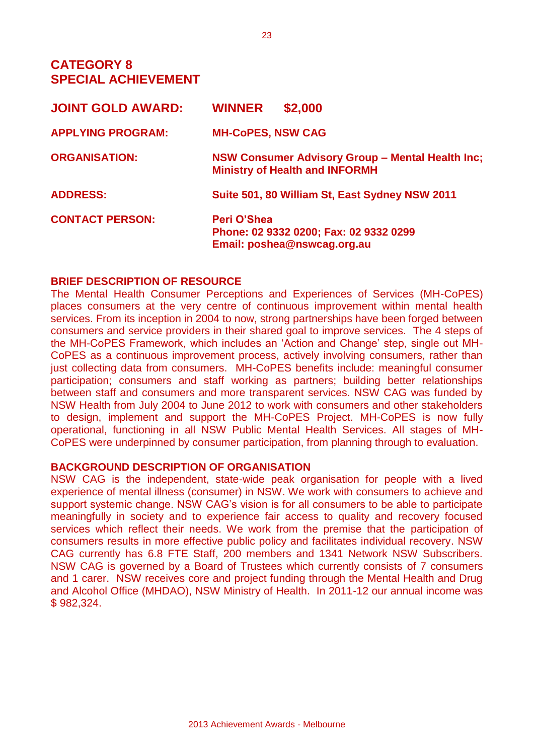## **CATEGORY 8 SPECIAL ACHIEVEMENT**

| <b>JOINT GOLD AWARD:</b> | \$2,000<br><b>WINNER</b>                                                                  |
|--------------------------|-------------------------------------------------------------------------------------------|
| <b>APPLYING PROGRAM:</b> | <b>MH-CoPES, NSW CAG</b>                                                                  |
| <b>ORGANISATION:</b>     | NSW Consumer Advisory Group - Mental Health Inc;<br><b>Ministry of Health and INFORMH</b> |
| <b>ADDRESS:</b>          | Suite 501, 80 William St, East Sydney NSW 2011                                            |
| <b>CONTACT PERSON:</b>   | Peri O'Shea<br>Phone: 02 9332 0200; Fax: 02 9332 0299<br>Email: poshea@nswcag.org.au      |

#### **BRIEF DESCRIPTION OF RESOURCE**

The Mental Health Consumer Perceptions and Experiences of Services (MH-CoPES) places consumers at the very centre of continuous improvement within mental health services. From its inception in 2004 to now, strong partnerships have been forged between consumers and service providers in their shared goal to improve services. The 4 steps of the MH-CoPES Framework, which includes an 'Action and Change' step, single out MH-CoPES as a continuous improvement process, actively involving consumers, rather than just collecting data from consumers. MH-CoPES benefits include: meaningful consumer participation; consumers and staff working as partners; building better relationships between staff and consumers and more transparent services. NSW CAG was funded by NSW Health from July 2004 to June 2012 to work with consumers and other stakeholders to design, implement and support the MH-CoPES Project. MH-CoPES is now fully operational, functioning in all NSW Public Mental Health Services. All stages of MH-CoPES were underpinned by consumer participation, from planning through to evaluation.

#### **BACKGROUND DESCRIPTION OF ORGANISATION**

NSW CAG is the independent, state-wide peak organisation for people with a lived experience of mental illness (consumer) in NSW. We work with consumers to achieve and support systemic change. NSW CAG's vision is for all consumers to be able to participate meaningfully in society and to experience fair access to quality and recovery focused services which reflect their needs. We work from the premise that the participation of consumers results in more effective public policy and facilitates individual recovery. NSW CAG currently has 6.8 FTE Staff, 200 members and 1341 Network NSW Subscribers. NSW CAG is governed by a Board of Trustees which currently consists of 7 consumers and 1 carer. NSW receives core and project funding through the Mental Health and Drug and Alcohol Office (MHDAO), NSW Ministry of Health. In 2011-12 our annual income was \$ 982,324.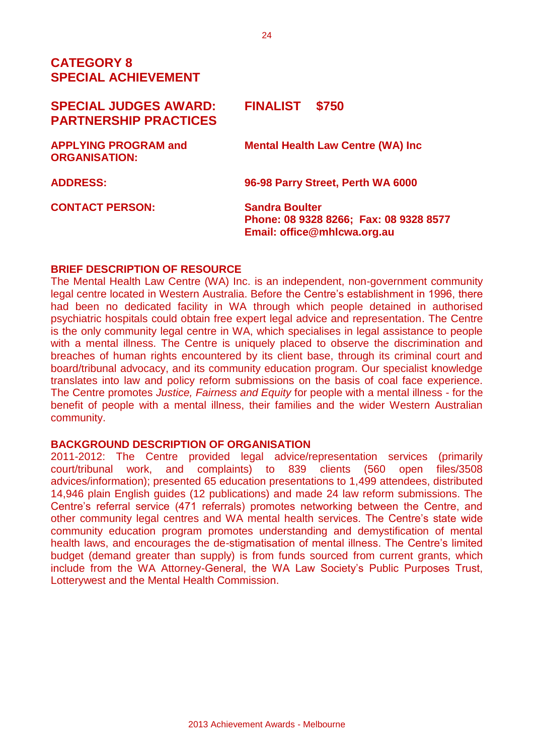## **CATEGORY 8 SPECIAL ACHIEVEMENT**

| <b>SPECIAL JUDGES AWARD:</b><br><b>PARTNERSHIP PRACTICES</b> | <b>FINALIST</b><br>\$750                                                                       |
|--------------------------------------------------------------|------------------------------------------------------------------------------------------------|
| <b>APPLYING PROGRAM and</b><br><b>ORGANISATION:</b>          | <b>Mental Health Law Centre (WA) Inc.</b>                                                      |
| <b>ADDRESS:</b>                                              | 96-98 Parry Street, Perth WA 6000                                                              |
| <b>CONTACT PERSON:</b>                                       | <b>Sandra Boulter</b><br>Phone: 08 9328 8266; Fax: 08 9328 8577<br>Email: office@mhlcwa.org.au |

### **BRIEF DESCRIPTION OF RESOURCE**

The Mental Health Law Centre (WA) Inc. is an independent, non-government community legal centre located in Western Australia. Before the Centre's establishment in 1996, there had been no dedicated facility in WA through which people detained in authorised psychiatric hospitals could obtain free expert legal advice and representation. The Centre is the only community legal centre in WA, which specialises in legal assistance to people with a mental illness. The Centre is uniquely placed to observe the discrimination and breaches of human rights encountered by its client base, through its criminal court and board/tribunal advocacy, and its community education program. Our specialist knowledge translates into law and policy reform submissions on the basis of coal face experience. The Centre promotes *Justice, Fairness and Equity* for people with a mental illness - for the benefit of people with a mental illness, their families and the wider Western Australian community.

## **BACKGROUND DESCRIPTION OF ORGANISATION**

2011-2012: The Centre provided legal advice/representation services (primarily court/tribunal work, and complaints) to 839 clients (560 open files/3508 advices/information); presented 65 education presentations to 1,499 attendees, distributed 14,946 plain English guides (12 publications) and made 24 law reform submissions. The Centre's referral service (471 referrals) promotes networking between the Centre, and other community legal centres and WA mental health services. The Centre's state wide community education program promotes understanding and demystification of mental health laws, and encourages the de-stigmatisation of mental illness. The Centre's limited budget (demand greater than supply) is from funds sourced from current grants, which include from the WA Attorney-General, the WA Law Society's Public Purposes Trust, Lotterywest and the Mental Health Commission.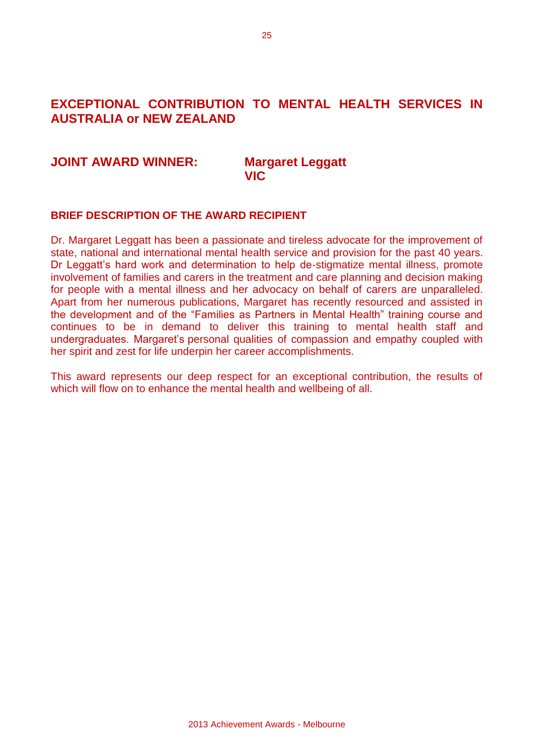## **EXCEPTIONAL CONTRIBUTION TO MENTAL HEALTH SERVICES IN AUSTRALIA or NEW ZEALAND**

#### **JOINT AWARD WINNER: Margaret Leggatt**

# **VIC**

#### **BRIEF DESCRIPTION OF THE AWARD RECIPIENT**

Dr. Margaret Leggatt has been a passionate and tireless advocate for the improvement of state, national and international mental health service and provision for the past 40 years. Dr Leggatt's hard work and determination to help de-stigmatize mental illness, promote involvement of families and carers in the treatment and care planning and decision making for people with a mental illness and her advocacy on behalf of carers are unparalleled. Apart from her numerous publications, Margaret has recently resourced and assisted in the development and of the "Families as Partners in Mental Health" training course and continues to be in demand to deliver this training to mental health staff and undergraduates. Margaret's personal qualities of compassion and empathy coupled with her spirit and zest for life underpin her career accomplishments.

This award represents our deep respect for an exceptional contribution, the results of which will flow on to enhance the mental health and wellbeing of all.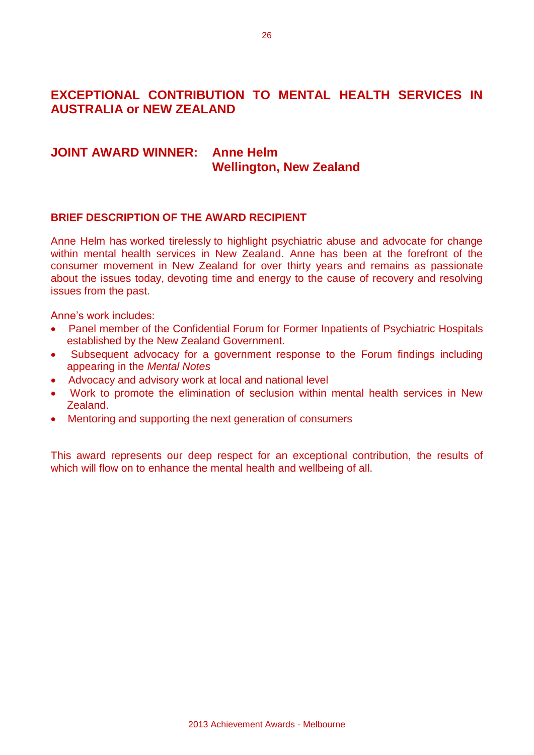## **EXCEPTIONAL CONTRIBUTION TO MENTAL HEALTH SERVICES IN AUSTRALIA or NEW ZEALAND**

## **JOINT AWARD WINNER: Anne Helm Wellington, New Zealand**

#### **BRIEF DESCRIPTION OF THE AWARD RECIPIENT**

Anne Helm has worked tirelessly to highlight psychiatric abuse and advocate for change within mental health services in New Zealand. Anne has been at the forefront of the consumer movement in New Zealand for over thirty years and remains as passionate about the issues today, devoting time and energy to the cause of recovery and resolving issues from the past.

Anne's work includes:

- Panel member of the Confidential Forum for Former Inpatients of Psychiatric Hospitals established by the New Zealand Government.
- Subsequent advocacy for a government response to the Forum findings including appearing in the *Mental Notes*
- Advocacy and advisory work at local and national level
- Work to promote the elimination of seclusion within mental health services in New Zealand.
- Mentoring and supporting the next generation of consumers

This award represents our deep respect for an exceptional contribution, the results of which will flow on to enhance the mental health and wellbeing of all.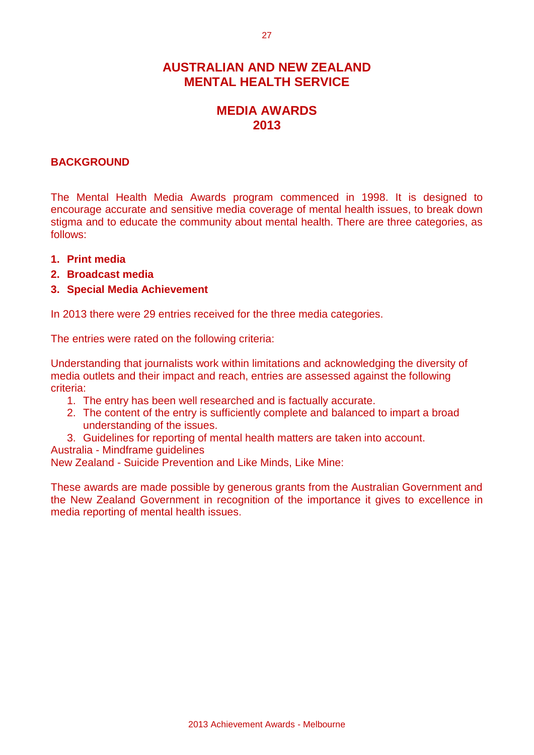## **AUSTRALIAN AND NEW ZEALAND MENTAL HEALTH SERVICE**

## **MEDIA AWARDS 2013**

### **BACKGROUND**

The Mental Health Media Awards program commenced in 1998. It is designed to encourage accurate and sensitive media coverage of mental health issues, to break down stigma and to educate the community about mental health. There are three categories, as follows:

- **1. Print media**
- **2. Broadcast media**
- **3. Special Media Achievement**

In 2013 there were 29 entries received for the three media categories.

The entries were rated on the following criteria:

Understanding that journalists work within limitations and acknowledging the diversity of media outlets and their impact and reach, entries are assessed against the following criteria:

- 1. The entry has been well researched and is factually accurate.
- 2. The content of the entry is sufficiently complete and balanced to impart a broad understanding of the issues.
- 3. Guidelines for reporting of mental health matters are taken into account.
- Australia Mindframe guidelines

New Zealand - Suicide Prevention and Like Minds, Like Mine:

These awards are made possible by generous grants from the Australian Government and the New Zealand Government in recognition of the importance it gives to excellence in media reporting of mental health issues.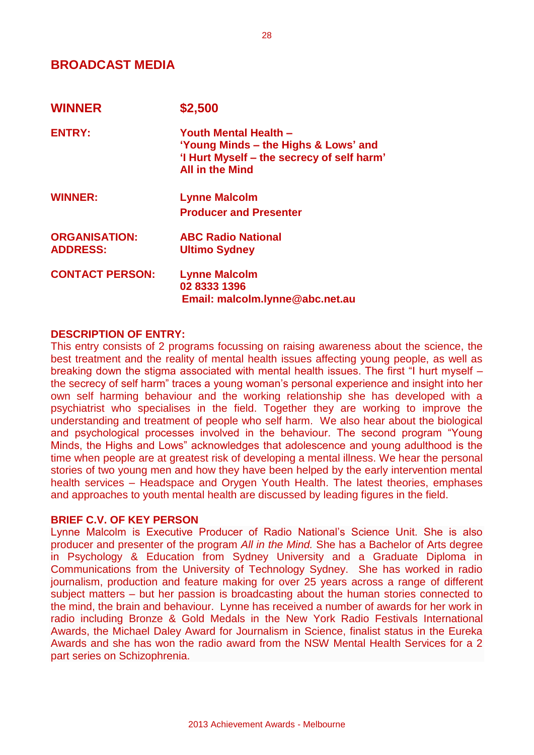## **BROADCAST MEDIA**

| <b>WINNER</b>          | \$2,500                                                                                                                               |
|------------------------|---------------------------------------------------------------------------------------------------------------------------------------|
| <b>ENTRY:</b>          | Youth Mental Health -<br>'Young Minds – the Highs & Lows' and<br>'I Hurt Myself – the secrecy of self harm'<br><b>All in the Mind</b> |
| <b>WINNER:</b>         | <b>Lynne Malcolm</b>                                                                                                                  |
|                        | <b>Producer and Presenter</b>                                                                                                         |
| <b>ORGANISATION:</b>   | <b>ABC Radio National</b>                                                                                                             |
| <b>ADDRESS:</b>        | <b>Ultimo Sydney</b>                                                                                                                  |
| <b>CONTACT PERSON:</b> | <b>Lynne Malcolm</b>                                                                                                                  |
|                        | 02 8333 1396                                                                                                                          |
|                        | Email: malcolm.lynne@abc.net.au                                                                                                       |

#### **DESCRIPTION OF ENTRY:**

This entry consists of 2 programs focussing on raising awareness about the science, the best treatment and the reality of mental health issues affecting young people, as well as breaking down the stigma associated with mental health issues. The first "I hurt myself – the secrecy of self harm" traces a young woman's personal experience and insight into her own self harming behaviour and the working relationship she has developed with a psychiatrist who specialises in the field. Together they are working to improve the understanding and treatment of people who self harm. We also hear about the biological and psychological processes involved in the behaviour. The second program "Young Minds, the Highs and Lows" acknowledges that adolescence and young adulthood is the time when people are at greatest risk of developing a mental illness. We hear the personal stories of two young men and how they have been helped by the early intervention mental health services – Headspace and Orygen Youth Health. The latest theories, emphases and approaches to youth mental health are discussed by leading figures in the field.

#### **BRIEF C.V. OF KEY PERSON**

Lynne Malcolm is Executive Producer of Radio National's Science Unit. She is also producer and presenter of the program *All in the Mind.* She has a Bachelor of Arts degree in Psychology & Education from Sydney University and a Graduate Diploma in Communications from the University of Technology Sydney. She has worked in radio journalism, production and feature making for over 25 years across a range of different subject matters – but her passion is broadcasting about the human stories connected to the mind, the brain and behaviour. Lynne has received a number of awards for her work in radio including Bronze & Gold Medals in the New York Radio Festivals International Awards, the Michael Daley Award for Journalism in Science, finalist status in the Eureka Awards and she has won the radio award from the NSW Mental Health Services for a 2 part series on Schizophrenia.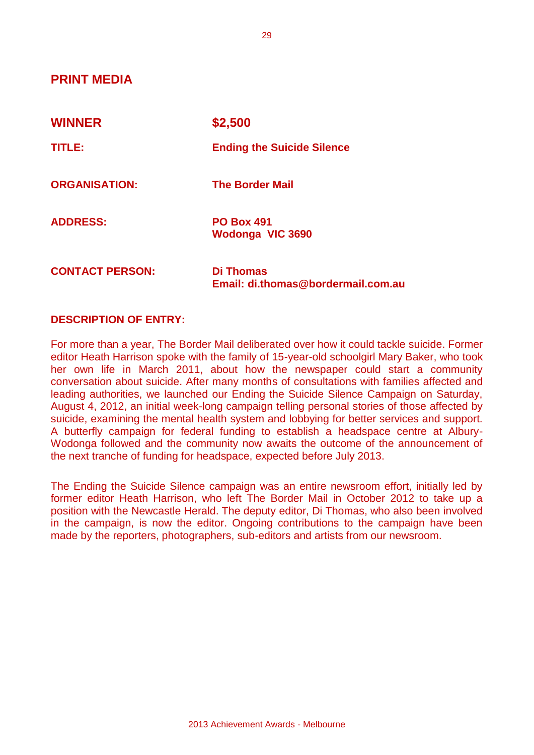**PRINT MEDIA** 

| <b>WINNER</b>          | \$2,500                                         |
|------------------------|-------------------------------------------------|
| TITLE:                 | <b>Ending the Suicide Silence</b>               |
| <b>ORGANISATION:</b>   | <b>The Border Mail</b>                          |
| <b>ADDRESS:</b>        | <b>PO Box 491</b><br>Wodonga VIC 3690           |
| <b>CONTACT PERSON:</b> | Di Thomas<br>Email: di.thomas@bordermail.com.au |

#### **DESCRIPTION OF ENTRY:**

For more than a year, The Border Mail deliberated over how it could tackle suicide. Former editor Heath Harrison spoke with the family of 15-year-old schoolgirl Mary Baker, who took her own life in March 2011, about how the newspaper could start a community conversation about suicide. After many months of consultations with families affected and leading authorities, we launched our Ending the Suicide Silence Campaign on Saturday, August 4, 2012, an initial week-long campaign telling personal stories of those affected by suicide, examining the mental health system and lobbying for better services and support. A butterfly campaign for federal funding to establish a headspace centre at Albury-Wodonga followed and the community now awaits the outcome of the announcement of the next tranche of funding for headspace, expected before July 2013.

The Ending the Suicide Silence campaign was an entire newsroom effort, initially led by former editor Heath Harrison, who left The Border Mail in October 2012 to take up a position with the Newcastle Herald. The deputy editor, Di Thomas, who also been involved in the campaign, is now the editor. Ongoing contributions to the campaign have been made by the reporters, photographers, sub-editors and artists from our newsroom.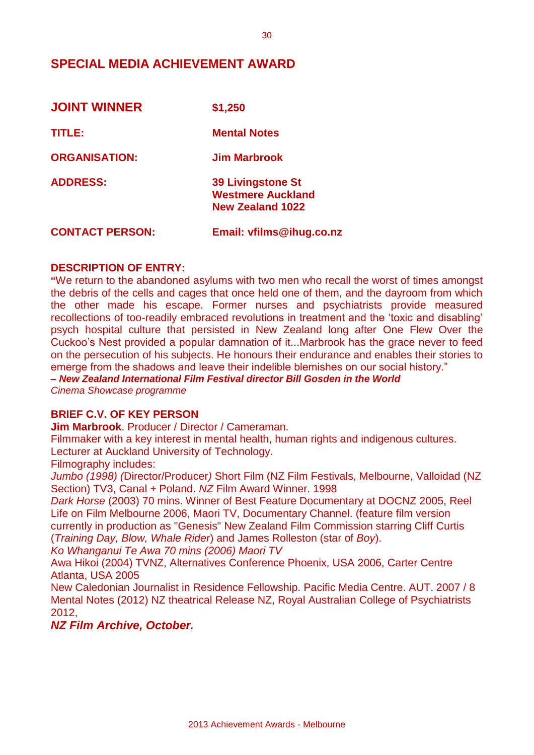## **SPECIAL MEDIA ACHIEVEMENT AWARD**

| <b>JOINT WINNER</b>    | \$1,250                                                                         |
|------------------------|---------------------------------------------------------------------------------|
| TITLE:                 | <b>Mental Notes</b>                                                             |
| <b>ORGANISATION:</b>   | Jim Marbrook                                                                    |
| <b>ADDRESS:</b>        | <b>39 Livingstone St</b><br><b>Westmere Auckland</b><br><b>New Zealand 1022</b> |
| <b>CONTACT PERSON:</b> | Email: vfilms@ihug.co.nz                                                        |

#### **DESCRIPTION OF ENTRY:**

**"**We return to the abandoned asylums with two men who recall the worst of times amongst the debris of the cells and cages that once held one of them, and the dayroom from which the other made his escape. Former nurses and psychiatrists provide measured recollections of too-readily embraced revolutions in treatment and the 'toxic and disabling' psych hospital culture that persisted in New Zealand long after One Flew Over the Cuckoo's Nest provided a popular damnation of it...Marbrook has the grace never to feed on the persecution of his subjects. He honours their endurance and enables their stories to emerge from the shadows and leave their indelible blemishes on our social history."

*– New Zealand International Film Festival director Bill Gosden in the World*

*Cinema Showcase programme*

#### **BRIEF C.V. OF KEY PERSON**

**Jim Marbrook**. Producer / Director / Cameraman.

Filmmaker with a key interest in mental health, human rights and indigenous cultures. Lecturer at Auckland University of Technology.

Filmography includes:

*Jumbo (1998) (*Director/Producer*)* Short Film (NZ Film Festivals, Melbourne, Valloidad (NZ Section) TV3, Canal + Poland. *NZ* Film Award Winner. 1998

*Dark Horse* (2003) 70 mins. Winner of Best Feature Documentary at DOCNZ 2005, Reel Life on Film Melbourne 2006, Maori TV, Documentary Channel. (feature film version currently in production as "Genesis" New Zealand Film Commission starring Cliff Curtis (*Training Day, Blow, Whale Rider*) and James Rolleston (star of *Boy*).

*Ko Whanganui Te Awa 70 mins (2006) Maori TV*

Awa Hikoi (2004) TVNZ, Alternatives Conference Phoenix, USA 2006, Carter Centre Atlanta, USA 2005

New Caledonian Journalist in Residence Fellowship. Pacific Media Centre. AUT. 2007 / 8 Mental Notes (2012) NZ theatrical Release NZ, Royal Australian College of Psychiatrists 2012,

*NZ Film Archive, October.*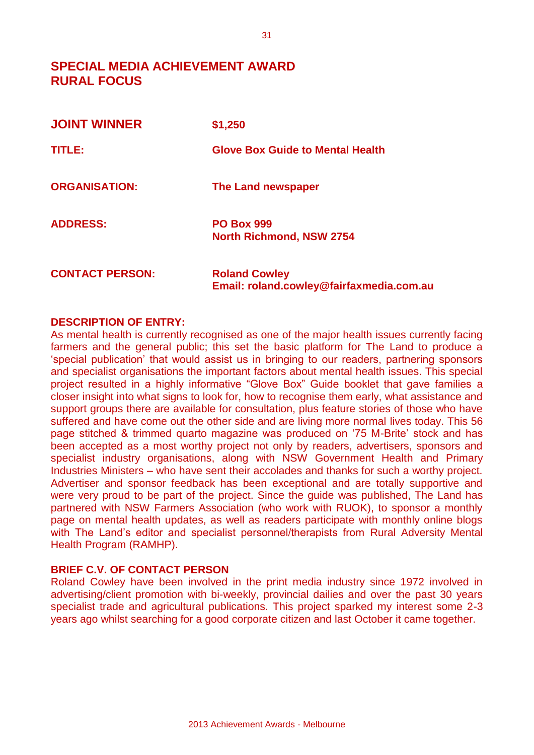## **SPECIAL MEDIA ACHIEVEMENT AWARD RURAL FOCUS**

| <b>JOINT WINNER</b>    | \$1,250                                                          |
|------------------------|------------------------------------------------------------------|
| TITLE:                 | <b>Glove Box Guide to Mental Health</b>                          |
| <b>ORGANISATION:</b>   | The Land newspaper                                               |
| <b>ADDRESS:</b>        | <b>PO Box 999</b><br><b>North Richmond, NSW 2754</b>             |
| <b>CONTACT PERSON:</b> | <b>Roland Cowley</b><br>Email: roland.cowley@fairfaxmedia.com.au |

#### **DESCRIPTION OF ENTRY:**

As mental health is currently recognised as one of the major health issues currently facing farmers and the general public; this set the basic platform for The Land to produce a 'special publication' that would assist us in bringing to our readers, partnering sponsors and specialist organisations the important factors about mental health issues. This special project resulted in a highly informative "Glove Box" Guide booklet that gave families a closer insight into what signs to look for, how to recognise them early, what assistance and support groups there are available for consultation, plus feature stories of those who have suffered and have come out the other side and are living more normal lives today. This 56 page stitched & trimmed quarto magazine was produced on '75 M-Brite' stock and has been accepted as a most worthy project not only by readers, advertisers, sponsors and specialist industry organisations, along with NSW Government Health and Primary Industries Ministers – who have sent their accolades and thanks for such a worthy project. Advertiser and sponsor feedback has been exceptional and are totally supportive and were very proud to be part of the project. Since the guide was published, The Land has partnered with NSW Farmers Association (who work with RUOK), to sponsor a monthly page on mental health updates, as well as readers participate with monthly online blogs with The Land's editor and specialist personnel/therapists from Rural Adversity Mental Health Program (RAMHP).

#### **BRIEF C.V. OF CONTACT PERSON**

Roland Cowley have been involved in the print media industry since 1972 involved in advertising/client promotion with bi-weekly, provincial dailies and over the past 30 years specialist trade and agricultural publications. This project sparked my interest some 2-3 years ago whilst searching for a good corporate citizen and last October it came together.

31